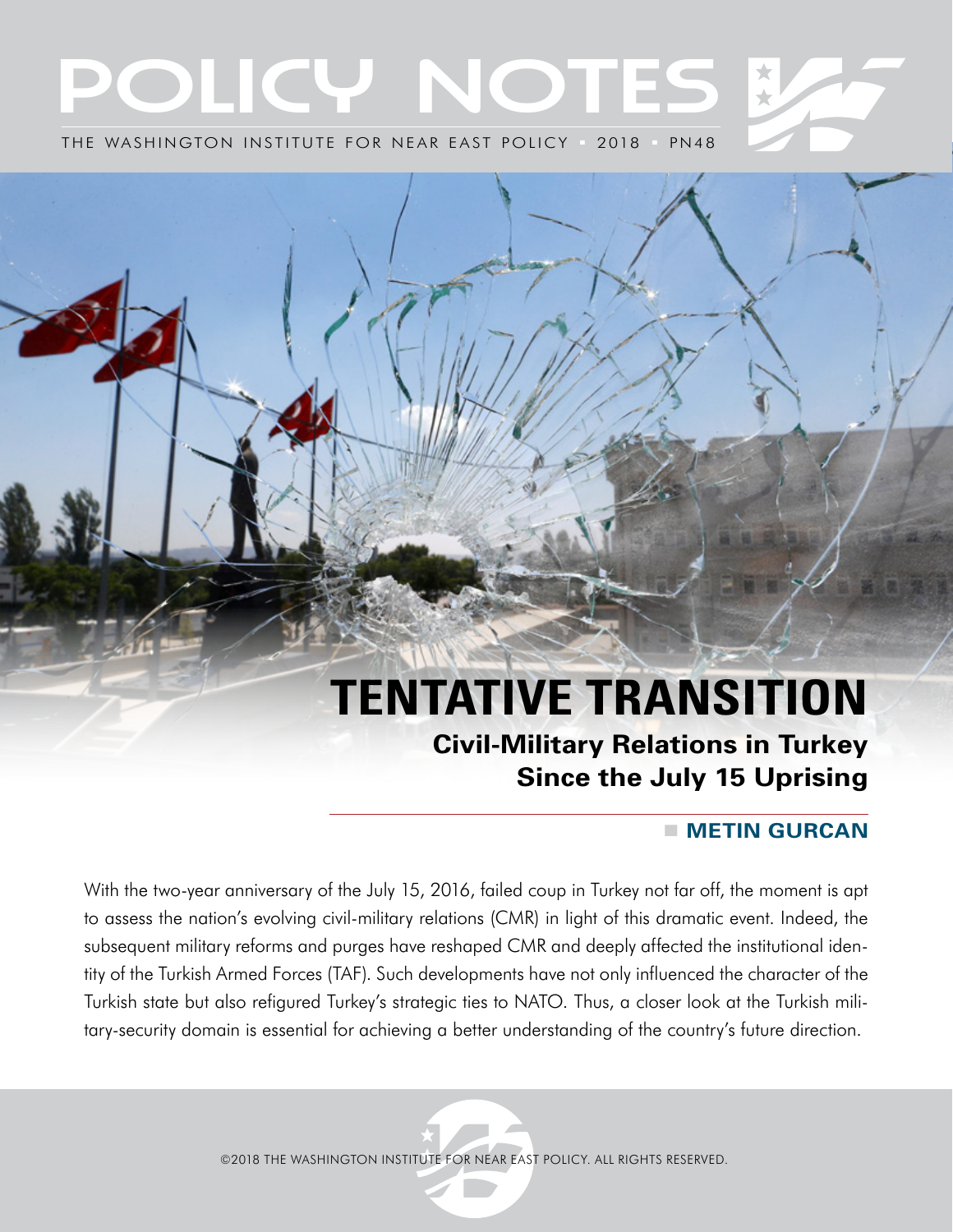# OLICY NOTES THE WASHINGTON INSTITUTE FOR NEAR EAST POLICY ■ 2018 ■ PN48

# **TENTATIVE TRANSITION Civil-Military Relations in Turkey**

# **Since the July 15 Uprising**

# **METIN GURCAN**

With the two-year anniversary of the July 15, 2016, failed coup in Turkey not far off, the moment is apt to assess the nation's evolving civil-military relations (CMR) in light of this dramatic event. Indeed, the subsequent military reforms and purges have reshaped CMR and deeply affected the institutional identity of the Turkish Armed Forces (TAF). Such developments have not only influenced the character of the Turkish state but also refigured Turkey's strategic ties to NATO. Thus, a closer look at the Turkish military-security domain is essential for achieving a better understanding of the country's future direction.

©2018 THE WASHINGTON INSTITUTE FOR NEAR EAST POLICY. ALL RIGHTS RESERVED.

THE WASHINGTON INSTITUTE FOR NEAR EAST POLICY  $\mathcal{A}=\mathcal{A}$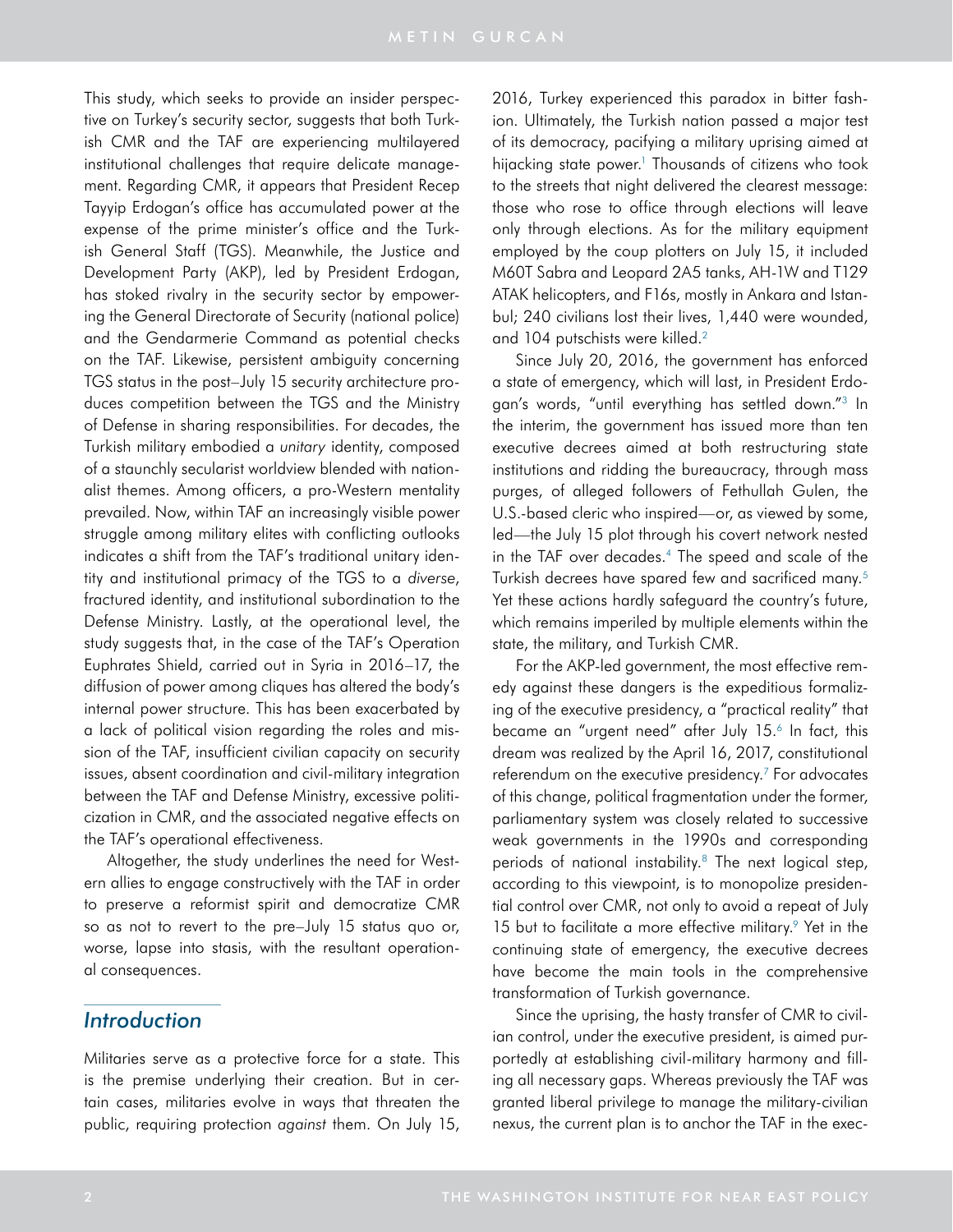This study, which seeks to provide an insider perspective on Turkey's security sector, suggests that both Turkish CMR and the TAF are experiencing multilayered institutional challenges that require delicate management. Regarding CMR, it appears that President Recep Tayyip Erdogan's office has accumulated power at the expense of the prime minister's office and the Turkish General Staff (TGS). Meanwhile, the Justice and Development Party (AKP), led by President Erdogan, has stoked rivalry in the security sector by empowering the General Directorate of Security (national police) and the Gendarmerie Command as potential checks on the TAF. Likewise, persistent ambiguity concerning TGS status in the post–July 15 security architecture produces competition between the TGS and the Ministry of Defense in sharing responsibilities. For decades, the Turkish military embodied a *unitary* identity, composed of a staunchly secularist worldview blended with nationalist themes. Among officers, a pro-Western mentality prevailed. Now, within TAF an increasingly visible power struggle among military elites with conflicting outlooks indicates a shift from the TAF's traditional unitary identity and institutional primacy of the TGS to a *diverse*, fractured identity, and institutional subordination to the Defense Ministry. Lastly, at the operational level, the study suggests that, in the case of the TAF's Operation Euphrates Shield, carried out in Syria in 2016–17, the diffusion of power among cliques has altered the body's internal power structure. This has been exacerbated by a lack of political vision regarding the roles and mission of the TAF, insufficient civilian capacity on security issues, absent coordination and civil-military integration between the TAF and Defense Ministry, excessive politicization in CMR, and the associated negative effects on the TAF's operational effectiveness.

Altogether, the study underlines the need for Western allies to engage constructively with the TAF in order to preserve a reformist spirit and democratize CMR so as not to revert to the pre–July 15 status quo or, worse, lapse into stasis, with the resultant operational consequences.

# *Introduction*

Militaries serve as a protective force for a state. This is the premise underlying their creation. But in certain cases, militaries evolve in ways that threaten the public, requiring protection *against* them. On July 15,

2016, Turkey experienced this paradox in bitter fashion. Ultimately, the Turkish nation passed a major test of its democracy, pacifying a military uprising aimed at hijacking state power.<sup>1</sup> Thousands of citizens who took to the streets that night delivered the clearest message: those who rose to office through elections will leave only through elections. As for the military equipment employed by the coup plotters on July 15, it included M60T Sabra and Leopard 2A5 tanks, AH-1W and T129 ATAK helicopters, and F16s, mostly in Ankara and Istanbul; 240 civilians lost their lives, 1,440 were wounded, and 104 putschists were killed.<sup>2</sup>

Since July 20, 2016, the government has enforced a state of emergency, which will last, in President Erdogan's words, "until everything has settled down.["3](#page-15-1) In the interim, the government has issued more than ten executive decrees aimed at both restructuring state institutions and ridding the bureaucracy, through mass purges, of alleged followers of Fethullah Gulen, the U.S.-based cleric who inspired—or, as viewed by some, led—the July 15 plot through his covert network nested in the TAF over decades.<sup>4</sup> The speed and scale of the Turkish decrees have spared few and sacrificed many.5 Yet these actions hardly safeguard the country's future, which remains imperiled by multiple elements within the state, the military, and Turkish CMR.

For the AKP-led government, the most effective remedy against these dangers is the expeditious formalizing of the executive presidency, a "practical reality" that became an "urgent need" after July 15.<sup>6</sup> In fact, this dream was realized by the April 16, 2017, constitutional referendum on the executive presidency.<sup>7</sup> For advocates of this change, political fragmentation under the former, parliamentary system was closely related to successive weak governments in the 1990s and corresponding periods of national instability.<sup>8</sup> The next logical step, according to this viewpoint, is to monopolize presidential control over CMR, not only to avoid a repeat of July 15 but to facilitate a more effective military.<sup>9</sup> Yet in the continuing state of emergency, the executive decrees have become the main tools in the comprehensive transformation of Turkish governance.

Since the uprising, the hasty transfer of CMR to civilian control, under the executive president, is aimed purportedly at establishing civil-military harmony and filling all necessary gaps. Whereas previously the TAF was granted liberal privilege to manage the military-civilian nexus, the current plan is to anchor the TAF in the exec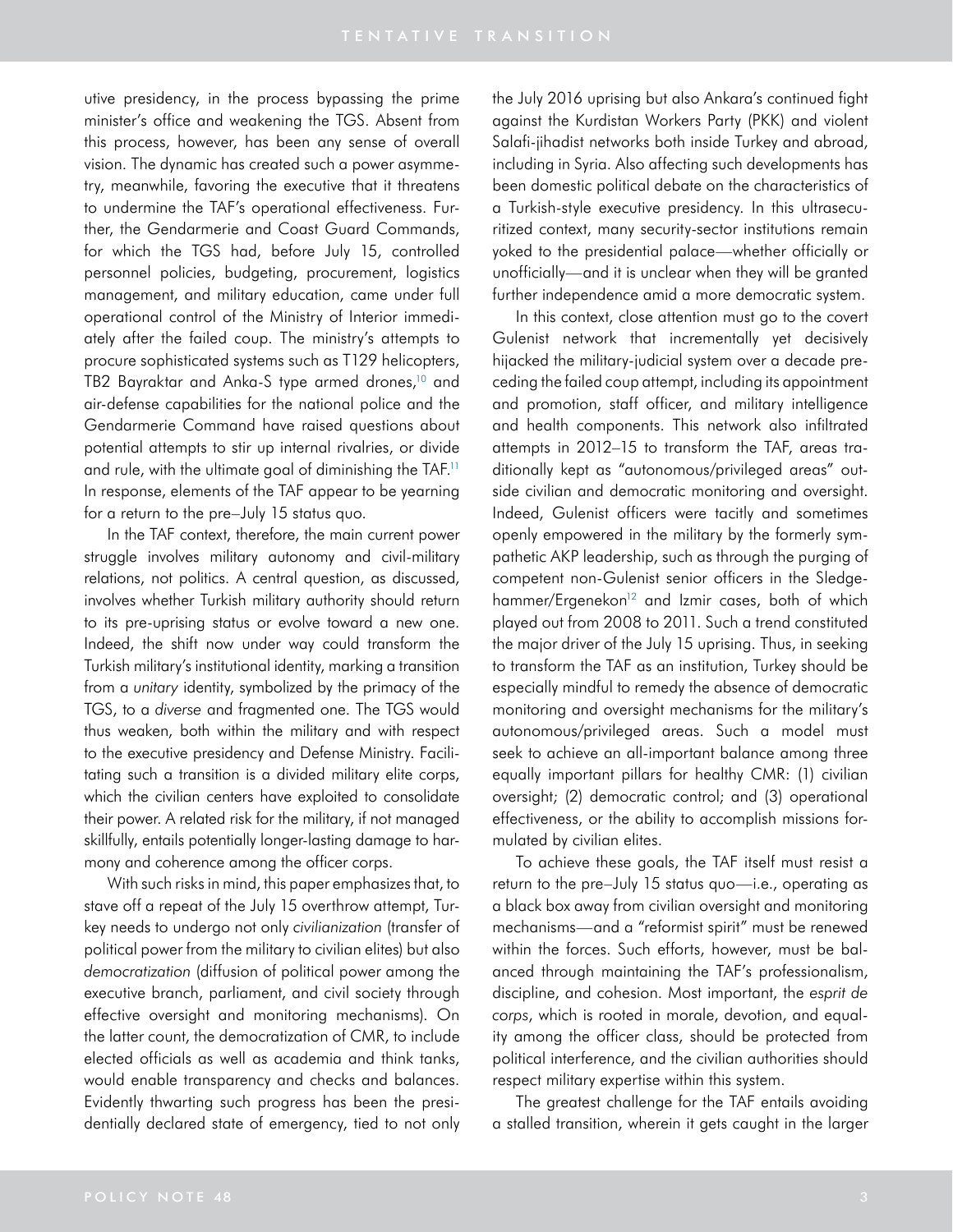utive presidency, in the process bypassing the prime minister's office and weakening the TGS. Absent from this process, however, has been any sense of overall vision. The dynamic has created such a power asymmetry, meanwhile, favoring the executive that it threatens to undermine the TAF's operational effectiveness. Further, the Gendarmerie and Coast Guard Commands, for which the TGS had, before July 15, controlled personnel policies, budgeting, procurement, logistics management, and military education, came under full operational control of the Ministry of Interior immediately after the failed coup. The ministry's attempts to procure sophisticated systems such as T129 helicopters, TB2 Bayraktar and Anka-S type armed drones,<sup>10</sup> and air-defense capabilities for the national police and the Gendarmerie Command have raised questions about potential attempts to stir up internal rivalries, or divide and rule, with the ultimate goal of diminishing the TAF.<sup>11</sup> In response, elements of the TAF appear to be yearning for a return to the pre–July 15 status quo.

In the TAF context, therefore, the main current power struggle involves military autonomy and civil-military relations, not politics. A central question, as discussed, involves whether Turkish military authority should return to its pre-uprising status or evolve toward a new one. Indeed, the shift now under way could transform the Turkish military's institutional identity, marking a transition from a *unitary* identity, symbolized by the primacy of the TGS, to a *diverse* and fragmented one. The TGS would thus weaken, both within the military and with respect to the executive presidency and Defense Ministry. Facilitating such a transition is a divided military elite corps, which the civilian centers have exploited to consolidate their power. A related risk for the military, if not managed skillfully, entails potentially longer-lasting damage to harmony and coherence among the officer corps.

With such risks in mind, this paper emphasizes that, to stave off a repeat of the July 15 overthrow attempt, Turkey needs to undergo not only *civilianization* (transfer of political power from the military to civilian elites) but also *democratization* (diffusion of political power among the executive branch, parliament, and civil society through effective oversight and monitoring mechanisms). On the latter count, the democratization of CMR, to include elected officials as well as academia and think tanks, would enable transparency and checks and balances. Evidently thwarting such progress has been the presidentially declared state of emergency, tied to not only the July 2016 uprising but also Ankara's continued fight against the Kurdistan Workers Party (PKK) and violent Salafi-jihadist networks both inside Turkey and abroad, including in Syria. Also affecting such developments has been domestic political debate on the characteristics of a Turkish-style executive presidency. In this ultrasecuritized context, many security-sector institutions remain yoked to the presidential palace—whether officially or unofficially—and it is unclear when they will be granted further independence amid a more democratic system.

In this context, close attention must go to the covert Gulenist network that incrementally yet decisively hijacked the military-judicial system over a decade preceding the failed coup attempt, including its appointment and promotion, staff officer, and military intelligence and health components. This network also infiltrated attempts in 2012–15 to transform the TAF, areas traditionally kept as "autonomous/privileged areas" outside civilian and democratic monitoring and oversight. Indeed, Gulenist officers were tacitly and sometimes openly empowered in the military by the formerly sympathetic AKP leadership, such as through the purging of competent non-Gulenist senior officers in the Sledgehammer/Ergenekon<sup>12</sup> and Izmir cases, both of which played out from 2008 to 2011. Such a trend constituted the major driver of the July 15 uprising. Thus, in seeking to transform the TAF as an institution, Turkey should be especially mindful to remedy the absence of democratic monitoring and oversight mechanisms for the military's autonomous/privileged areas. Such a model must seek to achieve an all-important balance among three equally important pillars for healthy CMR: (1) civilian oversight; (2) democratic control; and (3) operational effectiveness, or the ability to accomplish missions formulated by civilian elites.

To achieve these goals, the TAF itself must resist a return to the pre–July 15 status quo—i.e., operating as a black box away from civilian oversight and monitoring mechanisms—and a "reformist spirit" must be renewed within the forces. Such efforts, however, must be balanced through maintaining the TAF's professionalism, discipline, and cohesion. Most important, the *esprit de corps*, which is rooted in morale, devotion, and equality among the officer class, should be protected from political interference, and the civilian authorities should respect military expertise within this system.

The greatest challenge for the TAF entails avoiding a stalled transition, wherein it gets caught in the larger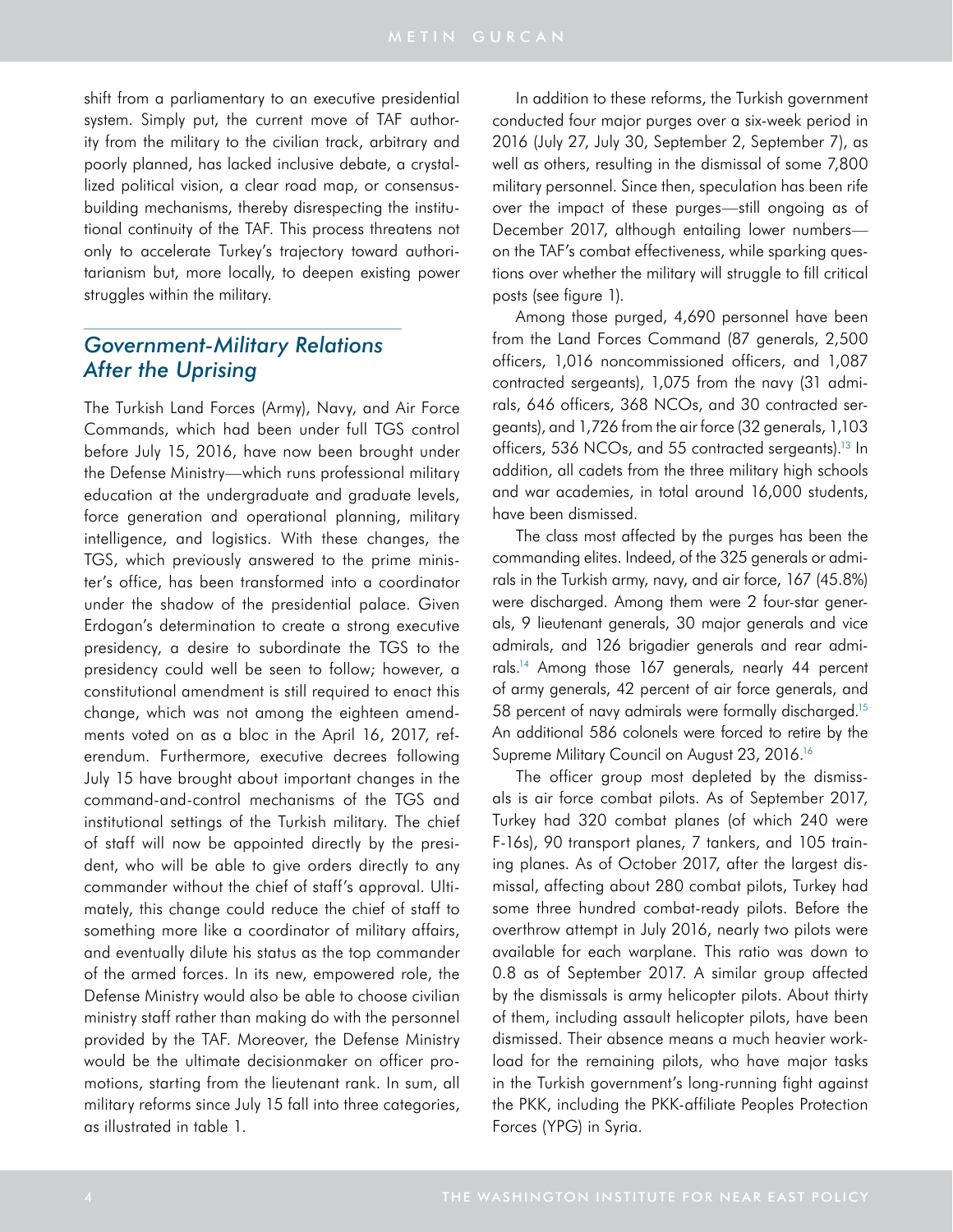shift from a parliamentary to an executive presidential system. Simply put, the current move of TAF authority from the military to the civilian track, arbitrary and poorly planned, has lacked inclusive debate, a crystallized political vision, a clear road map, or consensusbuilding mechanisms, thereby disrespecting the institutional continuity of the TAF. This process threatens not only to accelerate Turkey's trajectory toward authoritarianism but, more locally, to deepen existing power struggles within the military.

# *Government-Military Relations After the Uprising*

The Turkish Land Forces (Army), Navy, and Air Force Commands, which had been under full TGS control before July 15, 2016, have now been brought under the Defense Ministry—which runs professional military education at the undergraduate and graduate levels, force generation and operational planning, military intelligence, and logistics. With these changes, the TGS, which previously answered to the prime minister's office, has been transformed into a coordinator under the shadow of the presidential palace. Given Erdogan's determination to create a strong executive presidency, a desire to subordinate the TGS to the presidency could well be seen to follow; however, a constitutional amendment is still required to enact this change, which was not among the eighteen amendments voted on as a bloc in the April 16, 2017, referendum. Furthermore, executive decrees following July 15 have brought about important changes in the command-and-control mechanisms of the TGS and institutional settings of the Turkish military. The chief of staff will now be appointed directly by the president, who will be able to give orders directly to any commander without the chief of staff's approval. Ultimately, this change could reduce the chief of staff to something more like a coordinator of military affairs, and eventually dilute his status as the top commander of the armed forces. In its new, empowered role, the Defense Ministry would also be able to choose civilian ministry staff rather than making do with the personnel provided by the TAF. Moreover, the Defense Ministry would be the ultimate decisionmaker on officer promotions, starting from the lieutenant rank. In sum, all military reforms since July 15 fall into three categories, as illustrated in table 1.

In addition to these reforms, the Turkish government conducted four major purges over a six-week period in 2016 (July 27, July 30, September 2, September 7), as well as others, resulting in the dismissal of some 7,800 military personnel. Since then, speculation has been rife over the impact of these purges—still ongoing as of December 2017, although entailing lower numbers on the TAF's combat effectiveness, while sparking questions over whether the military will struggle to fill critical posts (see figure 1).

Among those purged, 4,690 personnel have been from the Land Forces Command (87 generals, 2,500 officers, 1,016 noncommissioned officers, and 1,087 contracted sergeants), 1,075 from the navy (31 admirals, 646 officers, 368 NCOs, and 30 contracted sergeants), and 1,726 from the air force (32 generals, 1,103 officers, 536 NCOs, and 55 contracted sergeants).<sup>13</sup> In addition, all cadets from the three military high schools and war academies, in total around 16,000 students, have been dismissed.

The class most affected by the purges has been the commanding elites. Indeed, of the 325 generals or admirals in the Turkish army, navy, and air force, 167 (45.8%) were discharged. Among them were 2 four-star generals, 9 lieutenant generals, 30 major generals and vice admirals, and 126 brigadier generals and rear admirals.14 Among those 167 generals, nearly 44 percent of army generals, 42 percent of air force generals, and 58 percent of navy admirals were formally discharged.15 An additional 586 colonels were forced to retire by the Supreme Military Council on August 23, 2016.<sup>16</sup>

The officer group most depleted by the dismissals is air force combat pilots. As of September 2017, Turkey had 320 combat planes (of which 240 were F-16s), 90 transport planes, 7 tankers, and 105 training planes. As of October 2017, after the largest dismissal, affecting about 280 combat pilots, Turkey had some three hundred combat-ready pilots. Before the overthrow attempt in July 2016, nearly two pilots were available for each warplane. This ratio was down to 0.8 as of September 2017. A similar group affected by the dismissals is army helicopter pilots. About thirty of them, including assault helicopter pilots, have been dismissed. Their absence means a much heavier workload for the remaining pilots, who have major tasks in the Turkish government's long-running fight against the PKK, including the PKK-affiliate Peoples Protection Forces (YPG) in Syria.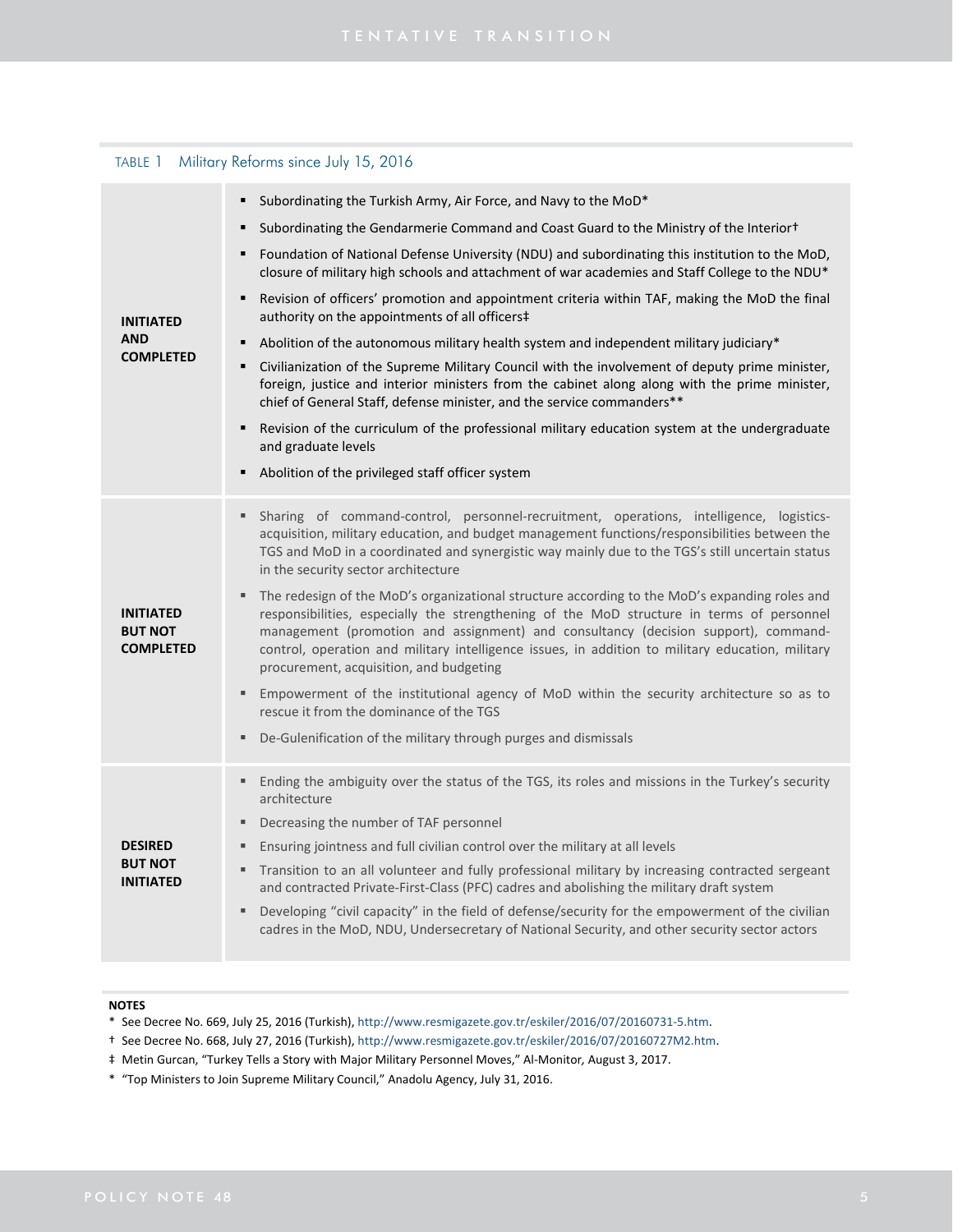## TABLE 1 Military Reforms since July 15, 2016

| <b>INITIATED</b><br><b>AND</b><br><b>COMPLETED</b>     | Subordinating the Turkish Army, Air Force, and Navy to the MoD*                                                                                                                                                                                                                                                                                                                                                                 |
|--------------------------------------------------------|---------------------------------------------------------------------------------------------------------------------------------------------------------------------------------------------------------------------------------------------------------------------------------------------------------------------------------------------------------------------------------------------------------------------------------|
|                                                        | Subordinating the Gendarmerie Command and Coast Guard to the Ministry of the Interior <sup>†</sup><br>٠                                                                                                                                                                                                                                                                                                                         |
|                                                        | Foundation of National Defense University (NDU) and subordinating this institution to the MoD,<br>٠<br>closure of military high schools and attachment of war academies and Staff College to the NDU*                                                                                                                                                                                                                           |
|                                                        | Revision of officers' promotion and appointment criteria within TAF, making the MoD the final<br>٠<br>authority on the appointments of all officers‡                                                                                                                                                                                                                                                                            |
|                                                        | Abolition of the autonomous military health system and independent military judiciary*<br>٠                                                                                                                                                                                                                                                                                                                                     |
|                                                        | Civilianization of the Supreme Military Council with the involvement of deputy prime minister,<br>٠<br>foreign, justice and interior ministers from the cabinet along along with the prime minister,<br>chief of General Staff, defense minister, and the service commanders**                                                                                                                                                  |
|                                                        | Revision of the curriculum of the professional military education system at the undergraduate<br>٠<br>and graduate levels                                                                                                                                                                                                                                                                                                       |
|                                                        | Abolition of the privileged staff officer system                                                                                                                                                                                                                                                                                                                                                                                |
| <b>INITIATED</b><br><b>BUT NOT</b><br><b>COMPLETED</b> | Sharing of command-control, personnel-recruitment, operations, intelligence, logistics-<br>٠<br>acquisition, military education, and budget management functions/responsibilities between the<br>TGS and MoD in a coordinated and synergistic way mainly due to the TGS's still uncertain status<br>in the security sector architecture                                                                                         |
|                                                        | The redesign of the MoD's organizational structure according to the MoD's expanding roles and<br>responsibilities, especially the strengthening of the MoD structure in terms of personnel<br>management (promotion and assignment) and consultancy (decision support), command-<br>control, operation and military intelligence issues, in addition to military education, military<br>procurement, acquisition, and budgeting |
|                                                        | Empowerment of the institutional agency of MoD within the security architecture so as to<br>٠<br>rescue it from the dominance of the TGS                                                                                                                                                                                                                                                                                        |
|                                                        | De-Gulenification of the military through purges and dismissals<br>٠                                                                                                                                                                                                                                                                                                                                                            |
| <b>DESIRED</b><br><b>BUT NOT</b><br><b>INITIATED</b>   | Ending the ambiguity over the status of the TGS, its roles and missions in the Turkey's security<br>٠<br>architecture                                                                                                                                                                                                                                                                                                           |
|                                                        | Decreasing the number of TAF personnel<br>٠                                                                                                                                                                                                                                                                                                                                                                                     |
|                                                        | Ensuring jointness and full civilian control over the military at all levels<br>л                                                                                                                                                                                                                                                                                                                                               |
|                                                        | Transition to an all volunteer and fully professional military by increasing contracted sergeant<br>٠<br>and contracted Private-First-Class (PFC) cadres and abolishing the military draft system                                                                                                                                                                                                                               |
|                                                        | Developing "civil capacity" in the field of defense/security for the empowerment of the civilian<br>٠<br>cadres in the MoD, NDU, Undersecretary of National Security, and other security sector actors                                                                                                                                                                                                                          |

### **NOTES**

- \* See Decree No. 669, July 25, 2016 (Turkish), http://www.resmigazete.gov.tr/eskiler/2016/07/20160731‐5.htm.
- † See Decree No. 668, July 27, 2016 (Turkish), http://www.resmigazete.gov.tr/eskiler/2016/07/20160727M2.htm.
- ‡ Metin Gurcan, "Turkey Tells a Story with Major Military Personnel Moves," Al‐Monitor*,* August 3, 2017.
- \* "Top Ministers to Join Supreme Military Council," Anadolu Agency, July 31, 2016.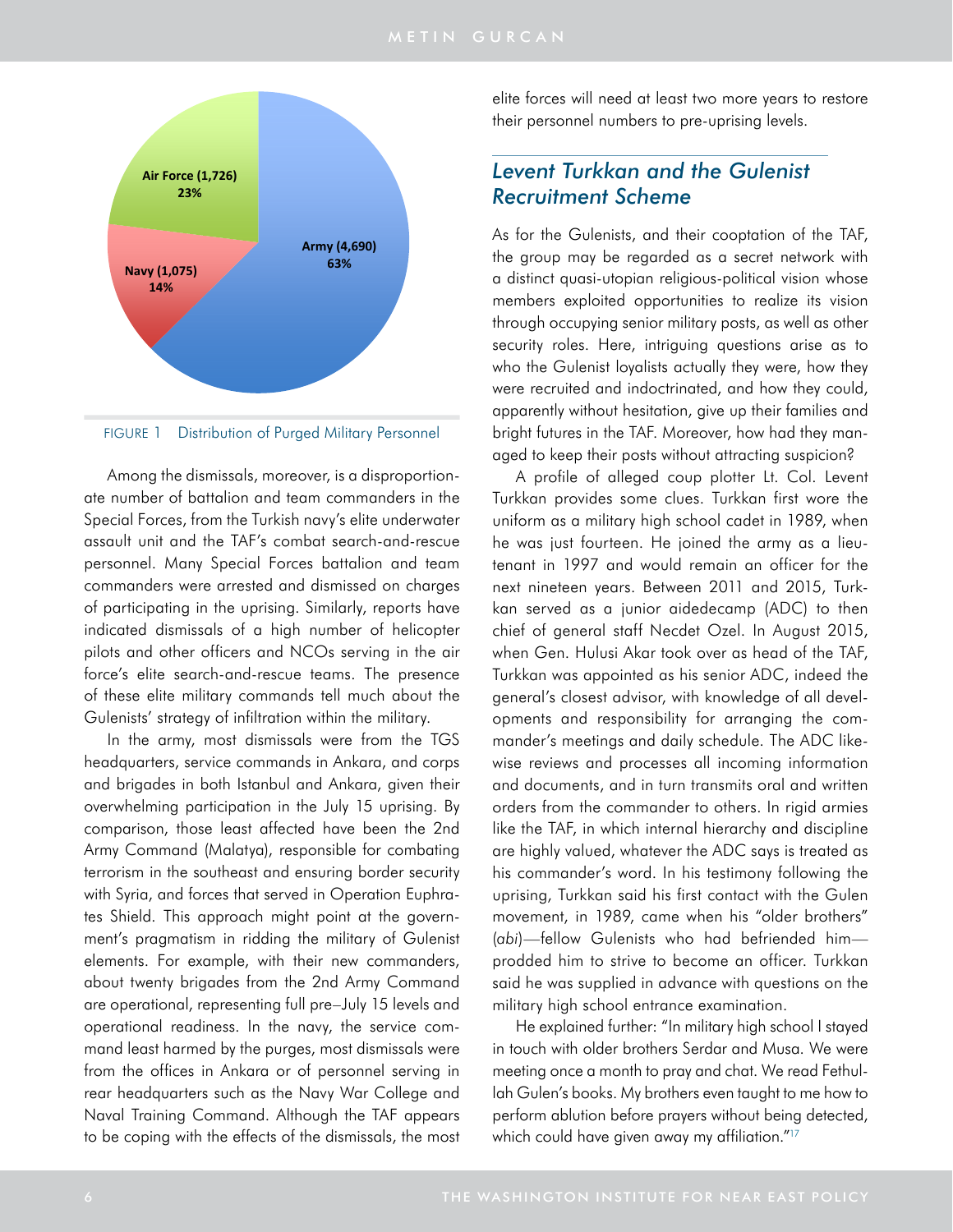

FIGURE 1 Distribution of Purged Military Personnel

Among the dismissals, moreover, is a disproportionate number of battalion and team commanders in the Special Forces, from the Turkish navy's elite underwater assault unit and the TAF's combat search-and-rescue personnel. Many Special Forces battalion and team commanders were arrested and dismissed on charges of participating in the uprising. Similarly, reports have indicated dismissals of a high number of helicopter pilots and other officers and NCOs serving in the air force's elite search-and-rescue teams. The presence of these elite military commands tell much about the Gulenists' strategy of infiltration within the military.

In the army, most dismissals were from the TGS headquarters, service commands in Ankara, and corps and brigades in both Istanbul and Ankara, given their overwhelming participation in the July 15 uprising. By comparison, those least affected have been the 2nd Army Command (Malatya), responsible for combating terrorism in the southeast and ensuring border security with Syria, and forces that served in Operation Euphrates Shield. This approach might point at the government's pragmatism in ridding the military of Gulenist elements. For example, with their new commanders, about twenty brigades from the 2nd Army Command are operational, representing full pre–July 15 levels and operational readiness. In the navy, the service command least harmed by the purges, most dismissals were from the offices in Ankara or of personnel serving in rear headquarters such as the Navy War College and Naval Training Command. Although the TAF appears to be coping with the effects of the dismissals, the most elite forces will need at least two more years to restore their personnel numbers to pre-uprising levels.

# *Levent Turkkan and the Gulenist Recruitment Scheme*

As for the Gulenists, and their cooptation of the TAF, the group may be regarded as a secret network with a distinct quasi-utopian religious-political vision whose members exploited opportunities to realize its vision through occupying senior military posts, as well as other security roles. Here, intriguing questions arise as to who the Gulenist loyalists actually they were, how they were recruited and indoctrinated, and how they could, apparently without hesitation, give up their families and bright futures in the TAF. Moreover, how had they managed to keep their posts without attracting suspicion?

A profile of alleged coup plotter Lt. Col. Levent Turkkan provides some clues. Turkkan first wore the uniform as a military high school cadet in 1989, when he was just fourteen. He joined the army as a lieutenant in 1997 and would remain an officer for the next nineteen years. Between 2011 and 2015, Turkkan served as a junior aidedecamp (ADC) to then chief of general staff Necdet Ozel. In August 2015, when Gen. Hulusi Akar took over as head of the TAF, Turkkan was appointed as his senior ADC, indeed the general's closest advisor, with knowledge of all developments and responsibility for arranging the commander's meetings and daily schedule. The ADC likewise reviews and processes all incoming information and documents, and in turn transmits oral and written orders from the commander to others. In rigid armies like the TAF, in which internal hierarchy and discipline are highly valued, whatever the ADC says is treated as his commander's word. In his testimony following the uprising, Turkkan said his first contact with the Gulen movement, in 1989, came when his "older brothers" (*abi*)—fellow Gulenists who had befriended him prodded him to strive to become an officer. Turkkan said he was supplied in advance with questions on the military high school entrance examination.

He explained further: "In military high school I stayed in touch with older brothers Serdar and Musa. We were meeting once a month to pray and chat. We read Fethullah Gulen's books. My brothers even taught to me how to perform ablution before prayers without being detected, which could have given away my affiliation."<sup>17</sup>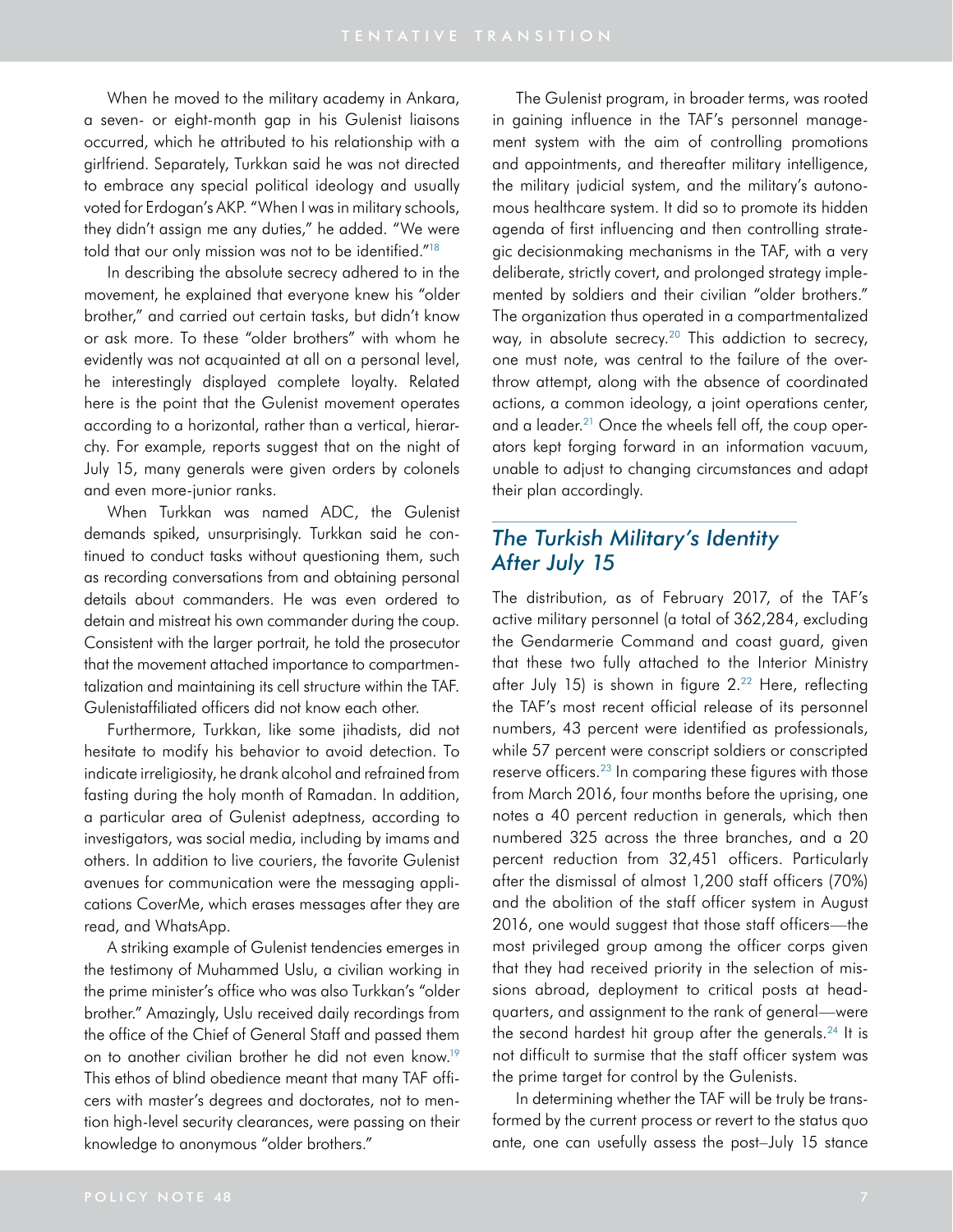When he moved to the military academy in Ankara, a seven- or eight-month gap in his Gulenist liaisons occurred, which he attributed to his relationship with a girlfriend. Separately, Turkkan said he was not directed to embrace any special political ideology and usually voted for Erdogan's AKP. "When I was in military schools, they didn't assign me any duties," he added. "We were told that our only mission was not to be identified.["18](#page-16-2)

In describing the absolute secrecy adhered to in the movement, he explained that everyone knew his "older brother," and carried out certain tasks, but didn't know or ask more. To these "older brothers" with whom he evidently was not acquainted at all on a personal level, he interestingly displayed complete loyalty. Related here is the point that the Gulenist movement operates according to a horizontal, rather than a vertical, hierarchy. For example, reports suggest that on the night of July 15, many generals were given orders by colonels and even more-junior ranks.

When Turkkan was named ADC, the Gulenist demands spiked, unsurprisingly. Turkkan said he continued to conduct tasks without questioning them, such as recording conversations from and obtaining personal details about commanders. He was even ordered to detain and mistreat his own commander during the coup. Consistent with the larger portrait, he told the prosecutor that the movement attached importance to compartmentalization and maintaining its cell structure within the TAF. Gulenistaffiliated officers did not know each other.

Furthermore, Turkkan, like some jihadists, did not hesitate to modify his behavior to avoid detection. To indicate irreligiosity, he drank alcohol and refrained from fasting during the holy month of Ramadan. In addition, a particular area of Gulenist adeptness, according to investigators, was social media, including by imams and others. In addition to live couriers, the favorite Gulenist avenues for communication were the messaging applications CoverMe, which erases messages after they are read, and WhatsApp.

A striking example of Gulenist tendencies emerges in the testimony of Muhammed Uslu, a civilian working in the prime minister's office who was also Turkkan's "older brother." Amazingly, Uslu received daily recordings from the office of the Chief of General Staff and passed them on to another civilian brother he did not even know.19 This ethos of blind obedience meant that many TAF officers with master's degrees and doctorates, not to mention high-level security clearances, were passing on their knowledge to anonymous "older brothers."

The Gulenist program, in broader terms, was rooted in gaining influence in the TAF's personnel management system with the aim of controlling promotions and appointments, and thereafter military intelligence, the military judicial system, and the military's autonomous healthcare system. It did so to promote its hidden agenda of first influencing and then controlling strategic decisionmaking mechanisms in the TAF, with a very deliberate, strictly covert, and prolonged strategy implemented by soldiers and their civilian "older brothers." The organization thus operated in a compartmentalized way, in absolute secrecy.<sup>[20](#page-16-3)</sup> This addiction to secrecy, one must note, was central to the failure of the overthrow attempt, along with the absence of coordinated actions, a common ideology, a joint operations center, and a leader.<sup>21</sup> Once the wheels fell off, the coup operators kept forging forward in an information vacuum, unable to adjust to changing circumstances and adapt their plan accordingly.

# *The Turkish Military's Identity After July 15*

The distribution, as of February 2017, of the TAF's active military personnel (a total of 362,284, excluding the Gendarmerie Command and coast guard, given that these two fully attached to the Interior Ministry after July 15) is shown in figure 2.<sup>22</sup> Here, reflecting the TAF's most recent official release of its personnel numbers, 43 percent were identified as professionals, while 57 percent were conscript soldiers or conscripted reserve officers.23 In comparing these figures with those from March 2016, four months before the uprising, one notes a 40 percent reduction in generals, which then numbered 325 across the three branches, and a 20 percent reduction from 32,451 officers. Particularly after the dismissal of almost 1,200 staff officers (70%) and the abolition of the staff officer system in August 2016, one would suggest that those staff officers—the most privileged group among the officer corps given that they had received priority in the selection of missions abroad, deployment to critical posts at headquarters, and assignment to the rank of general—were the second hardest hit group after the generals.<sup>24</sup> It is not difficult to surmise that the staff officer system was the prime target for control by the Gulenists.

In determining whether the TAF will be truly be transformed by the current process or revert to the status quo ante, one can usefully assess the post–July 15 stance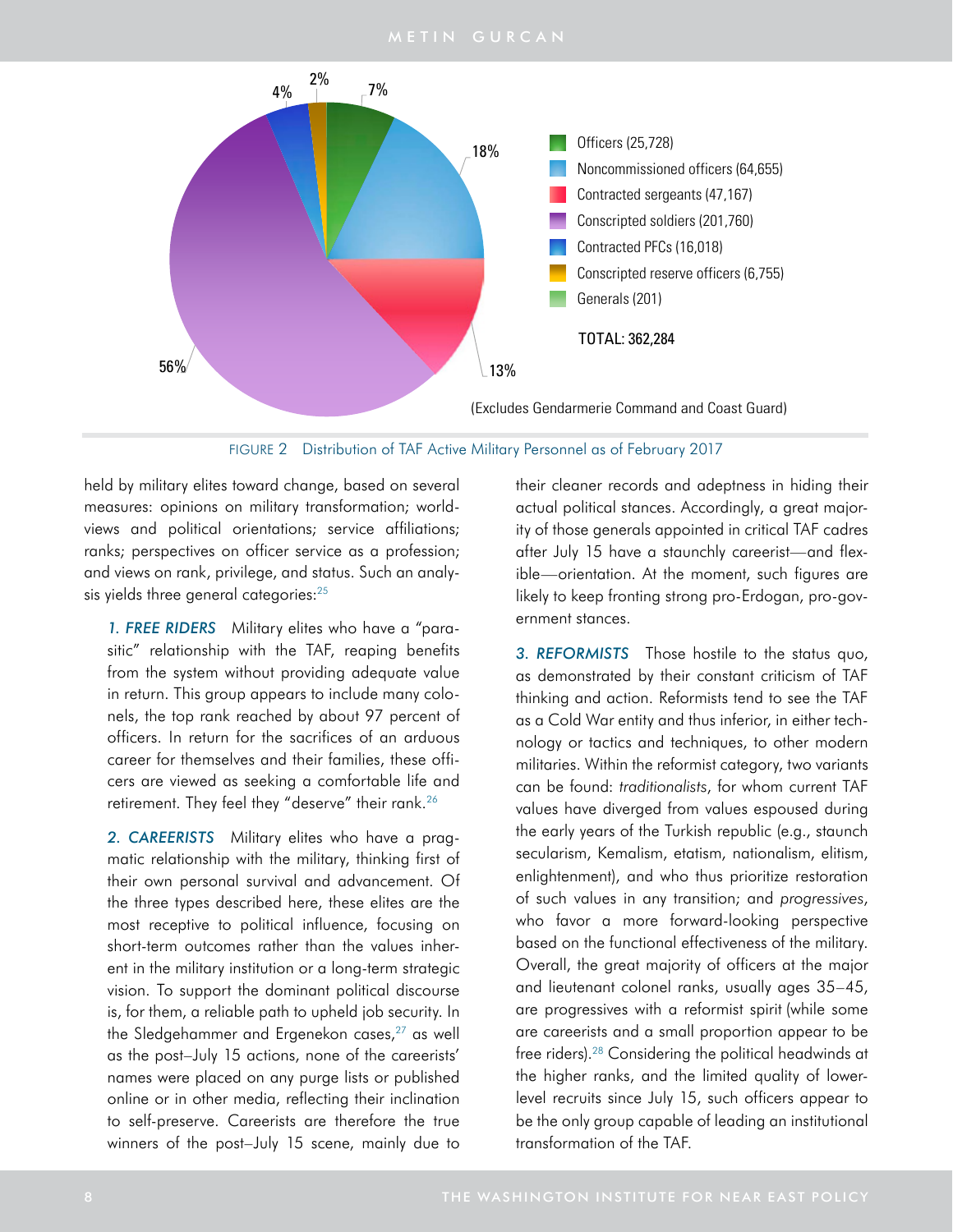

FIGURE 2 Distribution of TAF Active Military Personnel as of February 2017

held by military elites toward change, based on several measures: opinions on military transformation; worldviews and political orientations; service affiliations; ranks; perspectives on officer service as a profession; and views on rank, privilege, and status. Such an analysis yields three general categories:<sup>25</sup>

*1. FREE RIDERS* Military elites who have a "parasitic" relationship with the TAF, reaping benefits from the system without providing adequate value in return. This group appears to include many colonels, the top rank reached by about 97 percent of officers. In return for the sacrifices of an arduous career for themselves and their families, these officers are viewed as seeking a comfortable life and retirement. They feel they "deserve" their rank.<sup>26</sup>

*2. CAREERISTS* Military elites who have a pragmatic relationship with the military, thinking first of their own personal survival and advancement. Of the three types described here, these elites are the most receptive to political influence, focusing on short-term outcomes rather than the values inherent in the military institution or a long-term strategic vision. To support the dominant political discourse is, for them, a reliable path to upheld job security. In the Sledgehammer and Ergenekon cases, $27$  as well as the post–July 15 actions, none of the careerists' names were placed on any purge lists or published online or in other media, reflecting their inclination to self-preserve. Careerists are therefore the true winners of the post–July 15 scene, mainly due to

their cleaner records and adeptness in hiding their actual political stances. Accordingly, a great majority of those generals appointed in critical TAF cadres after July 15 have a staunchly careerist—and flexible—orientation. At the moment, such figures are likely to keep fronting strong pro-Erdogan, pro-government stances.

*3. REFORMISTS* Those hostile to the status quo, as demonstrated by their constant criticism of TAF thinking and action. Reformists tend to see the TAF as a Cold War entity and thus inferior, in either technology or tactics and techniques, to other modern militaries. Within the reformist category, two variants can be found: *traditionalists*, for whom current TAF values have diverged from values espoused during the early years of the Turkish republic (e.g., staunch secularism, Kemalism, etatism, nationalism, elitism, enlightenment), and who thus prioritize restoration of such values in any transition; and *progressives*, who favor a more forward-looking perspective based on the functional effectiveness of the military. Overall, the great majority of officers at the major and lieutenant colonel ranks, usually ages 35–45, are progressives with a reformist spirit (while some are careerists and a small proportion appear to be free riders).28 Considering the political headwinds at the higher ranks, and the limited quality of lowerlevel recruits since July 15, such officers appear to be the only group capable of leading an institutional transformation of the TAF.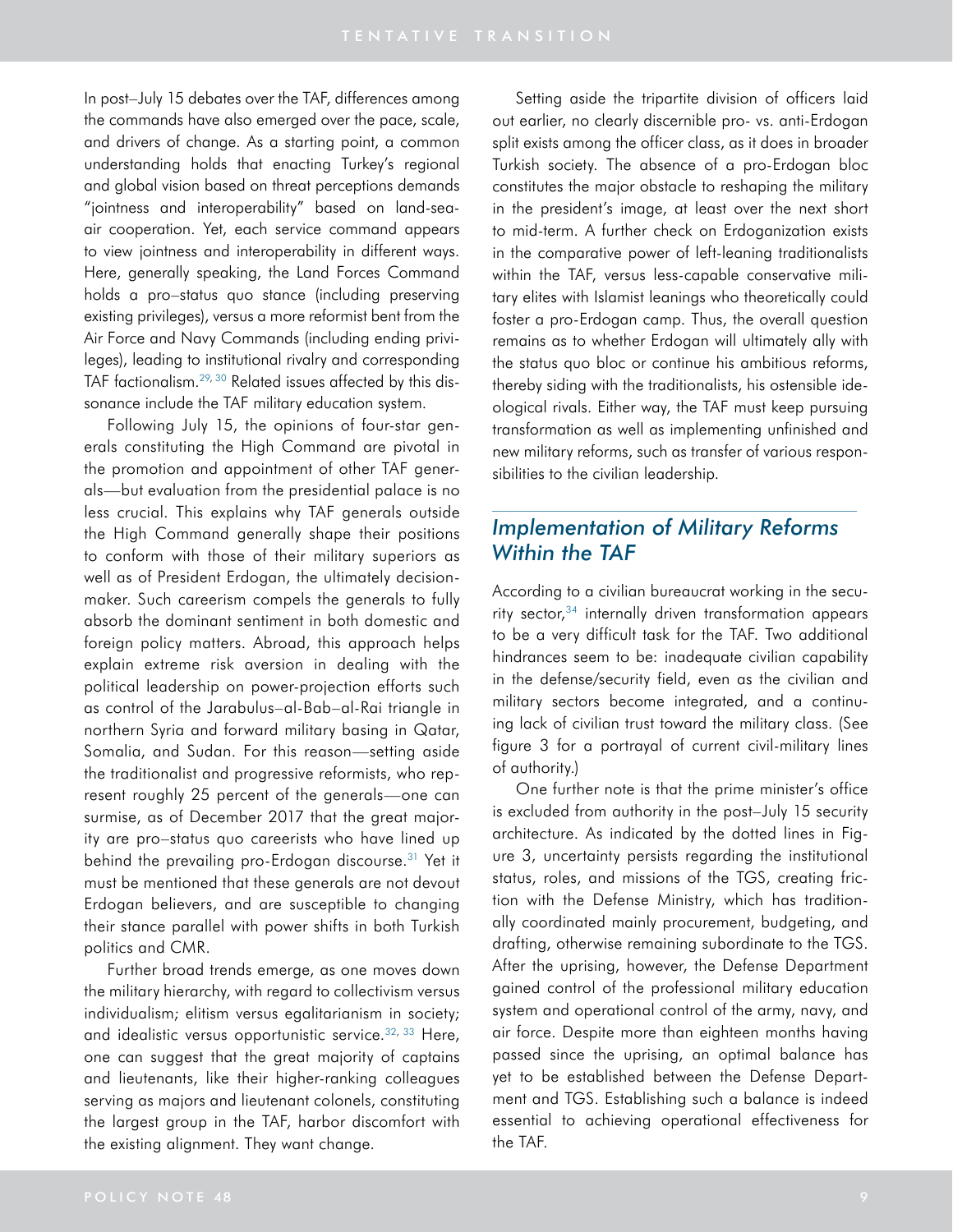In post–July 15 debates over the TAF, differences among the commands have also emerged over the pace, scale, and drivers of change. As a starting point, a common understanding holds that enacting Turkey's regional and global vision based on threat perceptions demands "jointness and interoperability" based on land-seaair cooperation. Yet, each service command appears to view jointness and interoperability in different ways. Here, generally speaking, the Land Forces Command holds a pro–status quo stance (including preserving existing privileges), versus a more reformist bent from the Air Force and Navy Commands (including ending privileges), leading to institutional rivalry and corresponding TAF factionalism.29, [30](#page-16-7) Related issues affected by this dissonance include the TAF military education system.

Following July 15, the opinions of four-star generals constituting the High Command are pivotal in the promotion and appointment of other TAF generals—but evaluation from the presidential palace is no less crucial. This explains why TAF generals outside the High Command generally shape their positions to conform with those of their military superiors as well as of President Erdogan, the ultimately decisionmaker. Such careerism compels the generals to fully absorb the dominant sentiment in both domestic and foreign policy matters. Abroad, this approach helps explain extreme risk aversion in dealing with the political leadership on power-projection efforts such as control of the Jarabulus–al-Bab–al-Rai triangle in northern Syria and forward military basing in Qatar, Somalia, and Sudan. For this reason—setting aside the traditionalist and progressive reformists, who represent roughly 25 percent of the generals—one can surmise, as of December 2017 that the great majority are pro–status quo careerists who have lined up behind the prevailing pro-Erdogan discourse.<sup>31</sup> Yet it must be mentioned that these generals are not devout Erdogan believers, and are susceptible to changing their stance parallel with power shifts in both Turkish politics and CMR.

Further broad trends emerge, as one moves down the military hierarchy, with regard to collectivism versus individualism; elitism versus egalitarianism in society; and idealistic versus opportunistic service.  $32, 33$  Here, one can suggest that the great majority of captains and lieutenants, like their higher-ranking colleagues serving as majors and lieutenant colonels, constituting the largest group in the TAF, harbor discomfort with the existing alignment. They want change.

Setting aside the tripartite division of officers laid out earlier, no clearly discernible pro- vs. anti-Erdogan split exists among the officer class, as it does in broader Turkish society. The absence of a pro-Erdogan bloc constitutes the major obstacle to reshaping the military in the president's image, at least over the next short to mid-term. A further check on Erdoganization exists in the comparative power of left-leaning traditionalists within the TAF, versus less-capable conservative military elites with Islamist leanings who theoretically could foster a pro-Erdogan camp. Thus, the overall question remains as to whether Erdogan will ultimately ally with the status quo bloc or continue his ambitious reforms, thereby siding with the traditionalists, his ostensible ideological rivals. Either way, the TAF must keep pursuing transformation as well as implementing unfinished and new military reforms, such as transfer of various responsibilities to the civilian leadership.

# *Implementation of Military Reforms Within the TAF*

According to a civilian bureaucrat working in the secu-rity sector,<sup>[34](#page-16-8)</sup> internally driven transformation appears to be a very difficult task for the TAF. Two additional hindrances seem to be: inadequate civilian capability in the defense/security field, even as the civilian and military sectors become integrated, and a continuing lack of civilian trust toward the military class. (See figure 3 for a portrayal of current civil-military lines of authority.)

One further note is that the prime minister's office is excluded from authority in the post–July 15 security architecture. As indicated by the dotted lines in Figure 3, uncertainty persists regarding the institutional status, roles, and missions of the TGS, creating friction with the Defense Ministry, which has traditionally coordinated mainly procurement, budgeting, and drafting, otherwise remaining subordinate to the TGS. After the uprising, however, the Defense Department gained control of the professional military education system and operational control of the army, navy, and air force. Despite more than eighteen months having passed since the uprising, an optimal balance has yet to be established between the Defense Department and TGS. Establishing such a balance is indeed essential to achieving operational effectiveness for the TAF.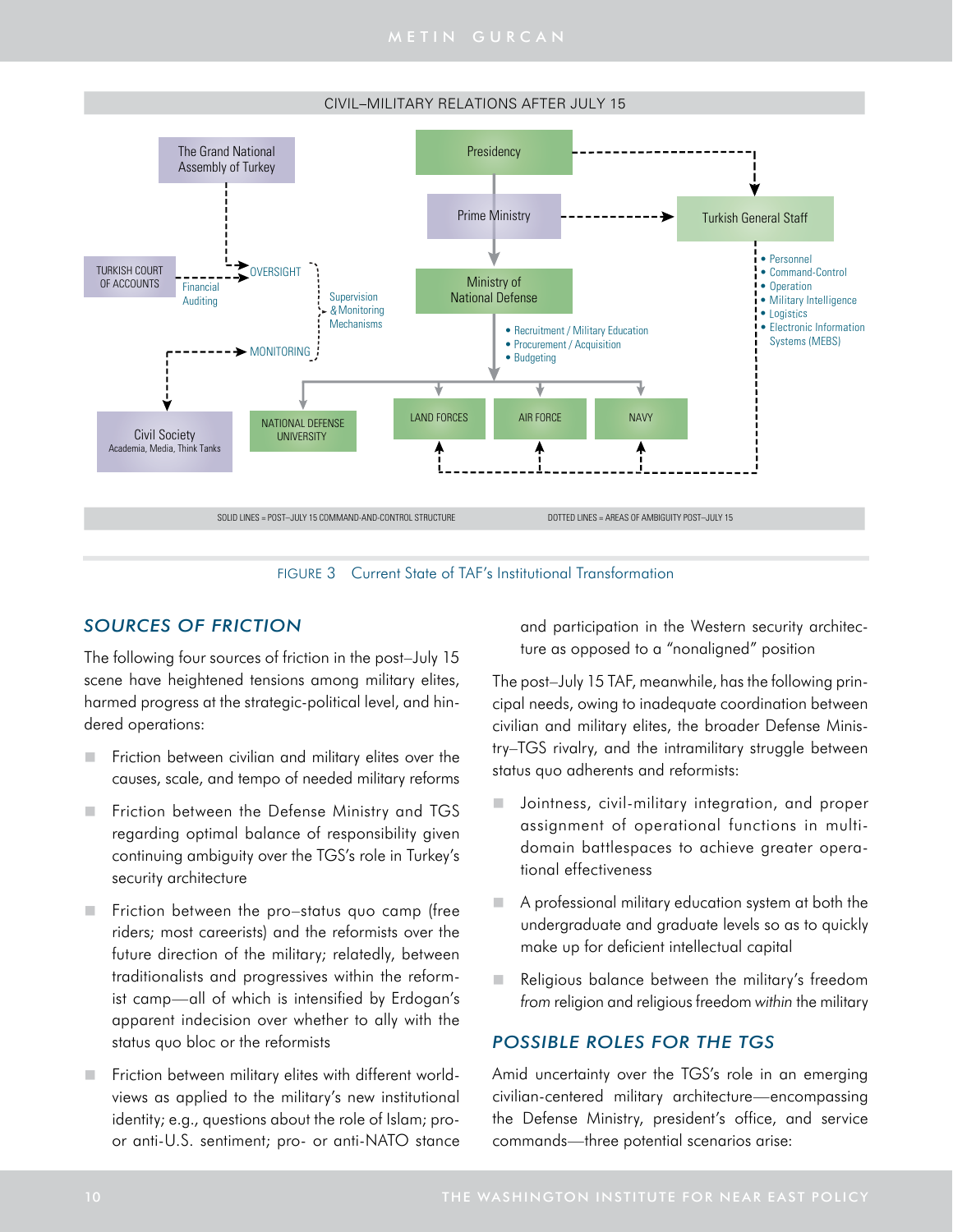



FIGURE 3 Current State of TAF's Institutional Transformation

# *SOURCES OF FRICTION*

The following four sources of friction in the post–July 15 scene have heightened tensions among military elites, harmed progress at the strategic-political level, and hindered operations:

- Friction between civilian and military elites over the causes, scale, and tempo of needed military reforms
- Friction between the Defense Ministry and TGS regarding optimal balance of responsibility given continuing ambiguity over the TGS's role in Turkey's security architecture
- Friction between the pro–status quo camp (free riders; most careerists) and the reformists over the future direction of the military; relatedly, between traditionalists and progressives within the reformist camp—all of which is intensified by Erdogan's apparent indecision over whether to ally with the status quo bloc or the reformists
- Friction between military elites with different worldviews as applied to the military's new institutional identity; e.g., questions about the role of Islam; proor anti-U.S. sentiment; pro- or anti-NATO stance

and participation in the Western security architecture as opposed to a "nonaligned" position

The post–July 15 TAF, meanwhile, has the following principal needs, owing to inadequate coordination between civilian and military elites, the broader Defense Ministry–TGS rivalry, and the intramilitary struggle between status quo adherents and reformists:

- Jointness, civil-military integration, and proper assignment of operational functions in multidomain battlespaces to achieve greater operational effectiveness
- A professional military education system at both the undergraduate and graduate levels so as to quickly make up for deficient intellectual capital
- Religious balance between the military's freedom *from* religion and religious freedom *within* the military

## *POSSIBLE ROLES FOR THE TGS*

Amid uncertainty over the TGS's role in an emerging civilian-centered military architecture—encompassing the Defense Ministry, president's office, and service commands—three potential scenarios arise: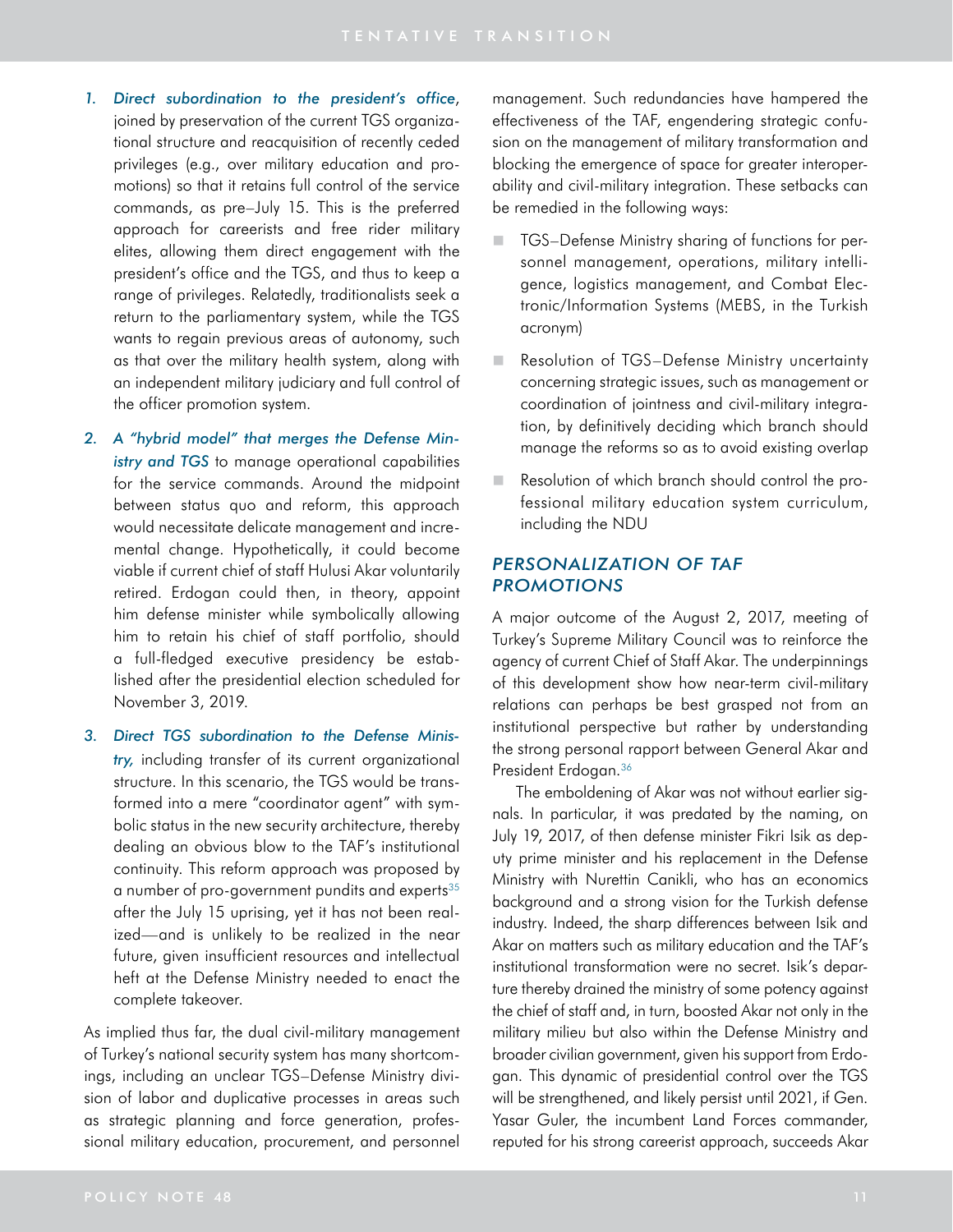- *1. Direct subordination to the president's office*, joined by preservation of the current TGS organizational structure and reacquisition of recently ceded privileges (e.g., over military education and promotions) so that it retains full control of the service commands, as pre–July 15. This is the preferred approach for careerists and free rider military elites, allowing them direct engagement with the president's office and the TGS, and thus to keep a range of privileges. Relatedly, traditionalists seek a return to the parliamentary system, while the TGS wants to regain previous areas of autonomy, such as that over the military health system, along with an independent military judiciary and full control of the officer promotion system.
- *2. A "hybrid model" that merges the Defense Ministry and TGS* to manage operational capabilities for the service commands. Around the midpoint between status quo and reform, this approach would necessitate delicate management and incremental change. Hypothetically, it could become viable if current chief of staff Hulusi Akar voluntarily retired. Erdogan could then, in theory, appoint him defense minister while symbolically allowing him to retain his chief of staff portfolio, should a full-fledged executive presidency be established after the presidential election scheduled for November 3, 2019.
- *3. Direct TGS subordination to the Defense Ministry,* including transfer of its current organizational structure. In this scenario, the TGS would be transformed into a mere "coordinator agent" with symbolic status in the new security architecture, thereby dealing an obvious blow to the TAF's institutional continuity. This reform approach was proposed by a number of pro-government pundits and experts<sup>35</sup> after the July 15 uprising, yet it has not been realized—and is unlikely to be realized in the near future, given insufficient resources and intellectual heft at the Defense Ministry needed to enact the complete takeover.

As implied thus far, the dual civil-military management of Turkey's national security system has many shortcomings, including an unclear TGS–Defense Ministry division of labor and duplicative processes in areas such as strategic planning and force generation, professional military education, procurement, and personnel management. Such redundancies have hampered the effectiveness of the TAF, engendering strategic confusion on the management of military transformation and blocking the emergence of space for greater interoperability and civil-military integration. These setbacks can be remedied in the following ways:

- **TGS–Defense Ministry sharing of functions for per**sonnel management, operations, military intelligence, logistics management, and Combat Electronic/Information Systems (MEBS, in the Turkish acronym)
- Resolution of TGS–Defense Ministry uncertainty concerning strategic issues, such as management or coordination of jointness and civil-military integration, by definitively deciding which branch should manage the reforms so as to avoid existing overlap
- Resolution of which branch should control the professional military education system curriculum, including the NDU

## *PERSONALIZATION OF TAF PROMOTIONS*

A major outcome of the August 2, 2017, meeting of Turkey's Supreme Military Council was to reinforce the agency of current Chief of Staff Akar. The underpinnings of this development show how near-term civil-military relations can perhaps be best grasped not from an institutional perspective but rather by understanding the strong personal rapport between General Akar and President Erdogan.<sup>36</sup>

The emboldening of Akar was not without earlier signals. In particular, it was predated by the naming, on July 19, 2017, of then defense minister Fikri Isik as deputy prime minister and his replacement in the Defense Ministry with Nurettin Canikli, who has an economics background and a strong vision for the Turkish defense industry. Indeed, the sharp differences between Isik and Akar on matters such as military education and the TAF's institutional transformation were no secret. Isik's departure thereby drained the ministry of some potency against the chief of staff and, in turn, boosted Akar not only in the military milieu but also within the Defense Ministry and broader civilian government, given his support from Erdogan. This dynamic of presidential control over the TGS will be strengthened, and likely persist until 2021, if Gen. Yasar Guler, the incumbent Land Forces commander, reputed for his strong careerist approach, succeeds Akar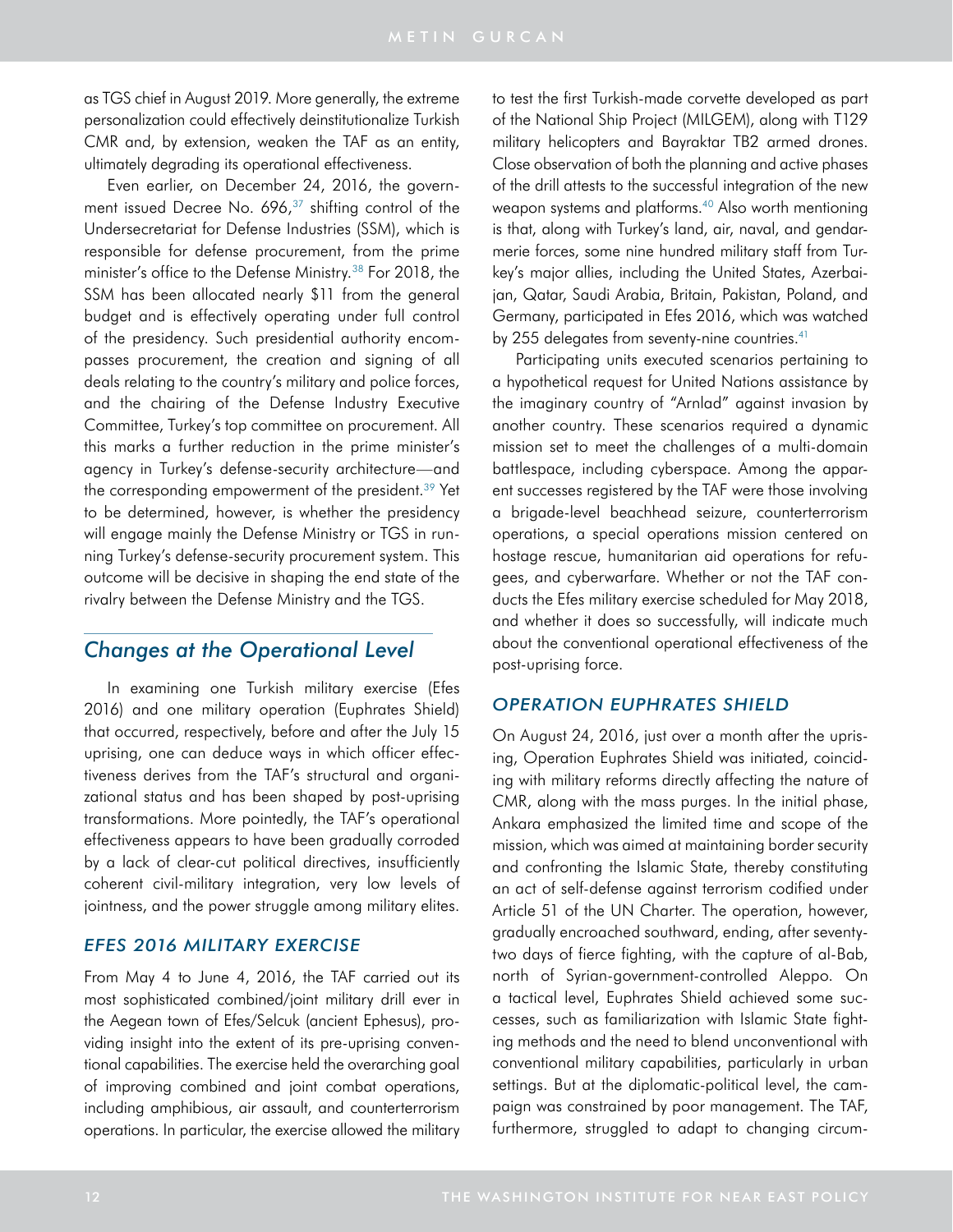as TGS chief in August 2019. More generally, the extreme personalization could effectively deinstitutionalize Turkish CMR and, by extension, weaken the TAF as an entity, ultimately degrading its operational effectiveness.

Even earlier, on December 24, 2016, the govern-ment issued Decree No. 696,<sup>[37](#page-16-9)</sup> shifting control of the Undersecretariat for Defense Industries (SSM), which is responsible for defense procurement, from the prime minister's office to the Defense Ministry.<sup>38</sup> For 2018, the SSM has been allocated nearly \$11 from the general budget and is effectively operating under full control of the presidency. Such presidential authority encompasses procurement, the creation and signing of all deals relating to the country's military and police forces, and the chairing of the Defense Industry Executive Committee, Turkey's top committee on procurement. All this marks a further reduction in the prime minister's agency in Turkey's defense-security architecture—and the corresponding empowerment of the president.<sup>39</sup> Yet to be determined, however, is whether the presidency will engage mainly the Defense Ministry or TGS in running Turkey's defense-security procurement system. This outcome will be decisive in shaping the end state of the rivalry between the Defense Ministry and the TGS.

# *Changes at the Operational Level*

In examining one Turkish military exercise (Efes 2016) and one military operation (Euphrates Shield) that occurred, respectively, before and after the July 15 uprising, one can deduce ways in which officer effectiveness derives from the TAF's structural and organizational status and has been shaped by post-uprising transformations. More pointedly, the TAF's operational effectiveness appears to have been gradually corroded by a lack of clear-cut political directives, insufficiently coherent civil-military integration, very low levels of jointness, and the power struggle among military elites.

## *EFES 2016 MILITARY EXERCISE*

From May 4 to June 4, 2016, the TAF carried out its most sophisticated combined/joint military drill ever in the Aegean town of Efes/Selcuk (ancient Ephesus), providing insight into the extent of its pre-uprising conventional capabilities. The exercise held the overarching goal of improving combined and joint combat operations, including amphibious, air assault, and counterterrorism operations. In particular, the exercise allowed the military to test the first Turkish-made corvette developed as part of the National Ship Project (MILGEM), along with T129 military helicopters and Bayraktar TB2 armed drones. Close observation of both the planning and active phases of the drill attests to the successful integration of the new weapon systems and platforms.<sup>40</sup> Also worth mentioning is that, along with Turkey's land, air, naval, and gendarmerie forces, some nine hundred military staff from Turkey's major allies, including the United States, Azerbaijan, Qatar, Saudi Arabia, Britain, Pakistan, Poland, and Germany, participated in Efes 2016, which was watched by 255 delegates from seventy-nine countries. $41$ 

Participating units executed scenarios pertaining to a hypothetical request for United Nations assistance by the imaginary country of "Arnlad" against invasion by another country. These scenarios required a dynamic mission set to meet the challenges of a multi-domain battlespace, including cyberspace. Among the apparent successes registered by the TAF were those involving a brigade-level beachhead seizure, counterterrorism operations, a special operations mission centered on hostage rescue, humanitarian aid operations for refugees, and cyberwarfare. Whether or not the TAF conducts the Efes military exercise scheduled for May 2018, and whether it does so successfully, will indicate much about the conventional operational effectiveness of the post-uprising force.

## *OPERATION EUPHRATES SHIELD*

On August 24, 2016, just over a month after the uprising, Operation Euphrates Shield was initiated, coinciding with military reforms directly affecting the nature of CMR, along with the mass purges. In the initial phase, Ankara emphasized the limited time and scope of the mission, which was aimed at maintaining border security and confronting the Islamic State, thereby constituting an act of self-defense against terrorism codified under Article 51 of the UN Charter. The operation, however, gradually encroached southward, ending, after seventytwo days of fierce fighting, with the capture of al-Bab, north of Syrian-government-controlled Aleppo. On a tactical level, Euphrates Shield achieved some successes, such as familiarization with Islamic State fighting methods and the need to blend unconventional with conventional military capabilities, particularly in urban settings. But at the diplomatic-political level, the campaign was constrained by poor management. The TAF, furthermore, struggled to adapt to changing circum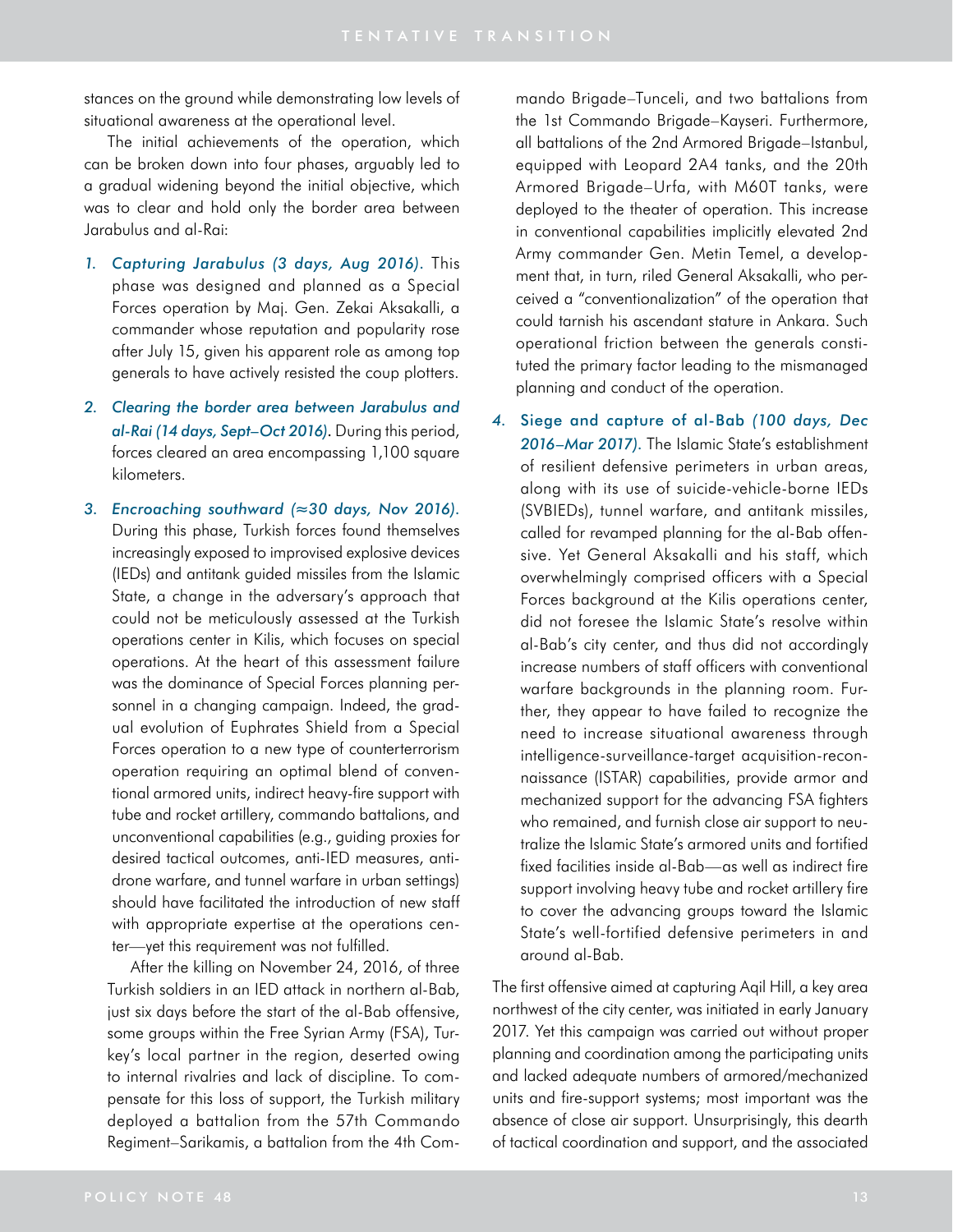stances on the ground while demonstrating low levels of situational awareness at the operational level.

The initial achievements of the operation, which can be broken down into four phases, arguably led to a gradual widening beyond the initial objective, which was to clear and hold only the border area between Jarabulus and al-Rai:

- *1. Capturing Jarabulus (3 days, Aug 2016)*. This phase was designed and planned as a Special Forces operation by Maj. Gen. Zekai Aksakalli, a commander whose reputation and popularity rose after July 15, given his apparent role as among top generals to have actively resisted the coup plotters.
- *2. Clearing the border area between Jarabulus and al-Rai (14 days, Sept–Oct 2016)*. During this period, forces cleared an area encompassing 1,100 square kilometers.
- *3. Encroaching southward (≈30 days, Nov 2016)*. During this phase, Turkish forces found themselves increasingly exposed to improvised explosive devices (IEDs) and antitank guided missiles from the Islamic State, a change in the adversary's approach that could not be meticulously assessed at the Turkish operations center in Kilis, which focuses on special operations. At the heart of this assessment failure was the dominance of Special Forces planning personnel in a changing campaign. Indeed, the gradual evolution of Euphrates Shield from a Special Forces operation to a new type of counterterrorism operation requiring an optimal blend of conventional armored units, indirect heavy-fire support with tube and rocket artillery, commando battalions, and unconventional capabilities (e.g., guiding proxies for desired tactical outcomes, anti-IED measures, antidrone warfare, and tunnel warfare in urban settings) should have facilitated the introduction of new staff with appropriate expertise at the operations center—yet this requirement was not fulfilled.

After the killing on November 24, 2016, of three Turkish soldiers in an IED attack in northern al-Bab, just six days before the start of the al-Bab offensive, some groups within the Free Syrian Army (FSA), Turkey's local partner in the region, deserted owing to internal rivalries and lack of discipline. To compensate for this loss of support, the Turkish military deployed a battalion from the 57th Commando Regiment–Sarikamis, a battalion from the 4th Com-

mando Brigade–Tunceli, and two battalions from the 1st Commando Brigade–Kayseri. Furthermore, all battalions of the 2nd Armored Brigade–Istanbul, equipped with Leopard 2A4 tanks, and the 20th Armored Brigade–Urfa, with M60T tanks, were deployed to the theater of operation. This increase in conventional capabilities implicitly elevated 2nd Army commander Gen. Metin Temel, a development that, in turn, riled General Aksakalli, who perceived a "conventionalization" of the operation that could tarnish his ascendant stature in Ankara. Such operational friction between the generals constituted the primary factor leading to the mismanaged planning and conduct of the operation.

*4.* Siege and capture of al-Bab *(100 days, Dec 2016–Mar 2017)*. The Islamic State's establishment of resilient defensive perimeters in urban areas, along with its use of suicide-vehicle-borne IEDs (SVBIEDs), tunnel warfare, and antitank missiles, called for revamped planning for the al-Bab offensive. Yet General Aksakalli and his staff, which overwhelmingly comprised officers with a Special Forces background at the Kilis operations center, did not foresee the Islamic State's resolve within al-Bab's city center, and thus did not accordingly increase numbers of staff officers with conventional warfare backgrounds in the planning room. Further, they appear to have failed to recognize the need to increase situational awareness through intelligence-surveillance-target acquisition-reconnaissance (ISTAR) capabilities, provide armor and mechanized support for the advancing FSA fighters who remained, and furnish close air support to neutralize the Islamic State's armored units and fortified fixed facilities inside al-Bab—as well as indirect fire support involving heavy tube and rocket artillery fire to cover the advancing groups toward the Islamic State's well-fortified defensive perimeters in and around al-Bab.

The first offensive aimed at capturing Aqil Hill, a key area northwest of the city center, was initiated in early January 2017. Yet this campaign was carried out without proper planning and coordination among the participating units and lacked adequate numbers of armored/mechanized units and fire-support systems; most important was the absence of close air support. Unsurprisingly, this dearth of tactical coordination and support, and the associated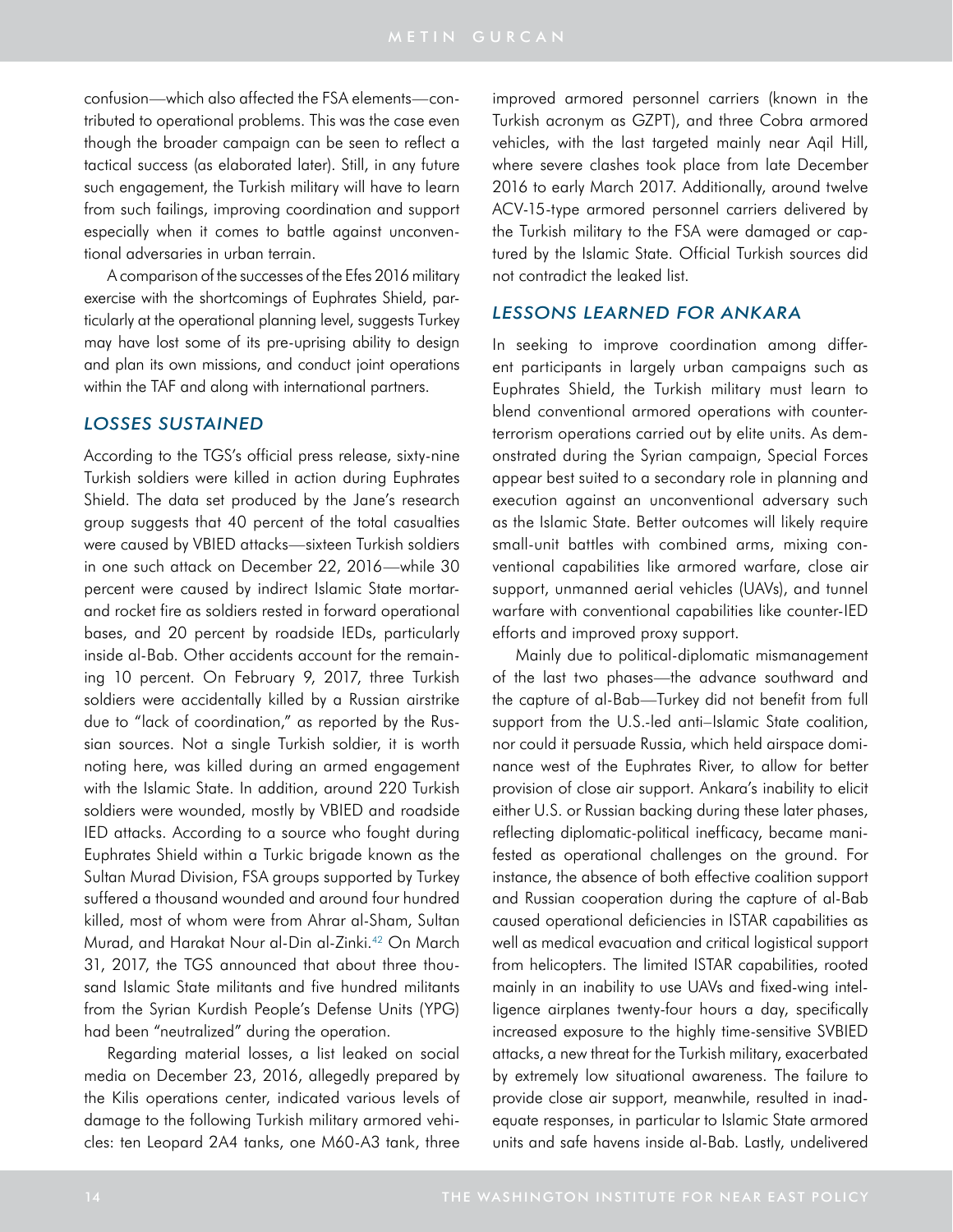confusion—which also affected the FSA elements—contributed to operational problems. This was the case even though the broader campaign can be seen to reflect a tactical success (as elaborated later). Still, in any future such engagement, the Turkish military will have to learn from such failings, improving coordination and support especially when it comes to battle against unconventional adversaries in urban terrain.

A comparison of the successes of the Efes 2016 military exercise with the shortcomings of Euphrates Shield, particularly at the operational planning level, suggests Turkey may have lost some of its pre-uprising ability to design and plan its own missions, and conduct joint operations within the TAF and along with international partners.

### *LOSSES SUSTAINED*

According to the TGS's official press release, sixty-nine Turkish soldiers were killed in action during Euphrates Shield. The data set produced by the Jane's research group suggests that 40 percent of the total casualties were caused by VBIED attacks—sixteen Turkish soldiers in one such attack on December 22, 2016—while 30 percent were caused by indirect Islamic State mortarand rocket fire as soldiers rested in forward operational bases, and 20 percent by roadside IEDs, particularly inside al-Bab. Other accidents account for the remaining 10 percent. On February 9, 2017, three Turkish soldiers were accidentally killed by a Russian airstrike due to "lack of coordination," as reported by the Russian sources. Not a single Turkish soldier, it is worth noting here, was killed during an armed engagement with the Islamic State. In addition, around 220 Turkish soldiers were wounded, mostly by VBIED and roadside IED attacks. According to a source who fought during Euphrates Shield within a Turkic brigade known as the Sultan Murad Division, FSA groups supported by Turkey suffered a thousand wounded and around four hundred killed, most of whom were from Ahrar al-Sham, Sultan Murad, and Harakat Nour al-Din al-Zinki.<sup>42</sup> On March 31, 2017, the TGS announced that about three thousand Islamic State militants and five hundred militants from the Syrian Kurdish People's Defense Units (YPG) had been "neutralized" during the operation.

Regarding material losses, a list leaked on social media on December 23, 2016, allegedly prepared by the Kilis operations center, indicated various levels of damage to the following Turkish military armored vehicles: ten Leopard 2A4 tanks, one M60-A3 tank, three improved armored personnel carriers (known in the Turkish acronym as GZPT), and three Cobra armored vehicles, with the last targeted mainly near Aqil Hill, where severe clashes took place from late December 2016 to early March 2017. Additionally, around twelve ACV-15-type armored personnel carriers delivered by the Turkish military to the FSA were damaged or captured by the Islamic State. Official Turkish sources did not contradict the leaked list.

## *LESSONS LEARNED FOR ANKARA*

In seeking to improve coordination among different participants in largely urban campaigns such as Euphrates Shield, the Turkish military must learn to blend conventional armored operations with counterterrorism operations carried out by elite units. As demonstrated during the Syrian campaign, Special Forces appear best suited to a secondary role in planning and execution against an unconventional adversary such as the Islamic State. Better outcomes will likely require small-unit battles with combined arms, mixing conventional capabilities like armored warfare, close air support, unmanned aerial vehicles (UAVs), and tunnel warfare with conventional capabilities like counter-IED efforts and improved proxy support.

Mainly due to political-diplomatic mismanagement of the last two phases—the advance southward and the capture of al-Bab—Turkey did not benefit from full support from the U.S.-led anti–Islamic State coalition, nor could it persuade Russia, which held airspace dominance west of the Euphrates River, to allow for better provision of close air support. Ankara's inability to elicit either U.S. or Russian backing during these later phases, reflecting diplomatic-political inefficacy, became manifested as operational challenges on the ground. For instance, the absence of both effective coalition support and Russian cooperation during the capture of al-Bab caused operational deficiencies in ISTAR capabilities as well as medical evacuation and critical logistical support from helicopters. The limited ISTAR capabilities, rooted mainly in an inability to use UAVs and fixed-wing intelligence airplanes twenty-four hours a day, specifically increased exposure to the highly time-sensitive SVBIED attacks, a new threat for the Turkish military, exacerbated by extremely low situational awareness. The failure to provide close air support, meanwhile, resulted in inadequate responses, in particular to Islamic State armored units and safe havens inside al-Bab. Lastly, undelivered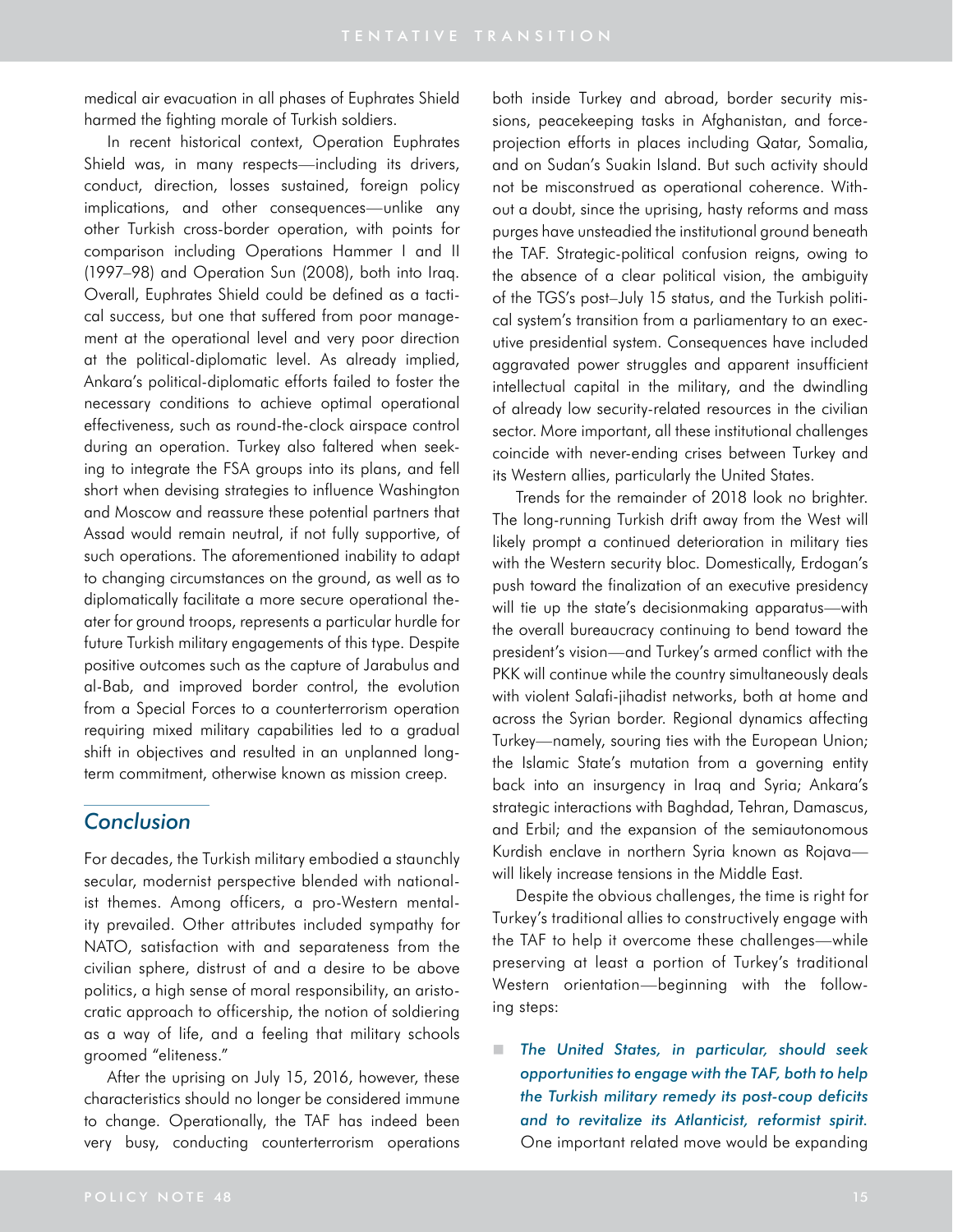medical air evacuation in all phases of Euphrates Shield harmed the fighting morale of Turkish soldiers.

In recent historical context, Operation Euphrates Shield was, in many respects—including its drivers, conduct, direction, losses sustained, foreign policy implications, and other consequences—unlike any other Turkish cross-border operation, with points for comparison including Operations Hammer I and II (1997–98) and Operation Sun (2008), both into Iraq. Overall, Euphrates Shield could be defined as a tactical success, but one that suffered from poor management at the operational level and very poor direction at the political-diplomatic level. As already implied, Ankara's political-diplomatic efforts failed to foster the necessary conditions to achieve optimal operational effectiveness, such as round-the-clock airspace control during an operation. Turkey also faltered when seeking to integrate the FSA groups into its plans, and fell short when devising strategies to influence Washington and Moscow and reassure these potential partners that Assad would remain neutral, if not fully supportive, of such operations. The aforementioned inability to adapt to changing circumstances on the ground, as well as to diplomatically facilitate a more secure operational theater for ground troops, represents a particular hurdle for future Turkish military engagements of this type. Despite positive outcomes such as the capture of Jarabulus and al-Bab, and improved border control, the evolution from a Special Forces to a counterterrorism operation requiring mixed military capabilities led to a gradual shift in objectives and resulted in an unplanned longterm commitment, otherwise known as mission creep.

# *Conclusion*

For decades, the Turkish military embodied a staunchly secular, modernist perspective blended with nationalist themes. Among officers, a pro-Western mentality prevailed. Other attributes included sympathy for NATO, satisfaction with and separateness from the civilian sphere, distrust of and a desire to be above politics, a high sense of moral responsibility, an aristocratic approach to officership, the notion of soldiering as a way of life, and a feeling that military schools groomed "eliteness."

After the uprising on July 15, 2016, however, these characteristics should no longer be considered immune to change. Operationally, the TAF has indeed been very busy, conducting counterterrorism operations both inside Turkey and abroad, border security missions, peacekeeping tasks in Afghanistan, and forceprojection efforts in places including Qatar, Somalia, and on Sudan's Suakin Island. But such activity should not be misconstrued as operational coherence. Without a doubt, since the uprising, hasty reforms and mass purges have unsteadied the institutional ground beneath the TAF. Strategic-political confusion reigns, owing to the absence of a clear political vision, the ambiguity of the TGS's post–July 15 status, and the Turkish political system's transition from a parliamentary to an executive presidential system. Consequences have included aggravated power struggles and apparent insufficient intellectual capital in the military, and the dwindling of already low security-related resources in the civilian sector. More important, all these institutional challenges coincide with never-ending crises between Turkey and its Western allies, particularly the United States.

Trends for the remainder of 2018 look no brighter. The long-running Turkish drift away from the West will likely prompt a continued deterioration in military ties with the Western security bloc. Domestically, Erdogan's push toward the finalization of an executive presidency will tie up the state's decisionmaking apparatus—with the overall bureaucracy continuing to bend toward the president's vision—and Turkey's armed conflict with the PKK will continue while the country simultaneously deals with violent Salafi-jihadist networks, both at home and across the Syrian border. Regional dynamics affecting Turkey—namely, souring ties with the European Union; the Islamic State's mutation from a governing entity back into an insurgency in Iraq and Syria; Ankara's strategic interactions with Baghdad, Tehran, Damascus, and Erbil; and the expansion of the semiautonomous Kurdish enclave in northern Syria known as Rojava will likely increase tensions in the Middle East.

Despite the obvious challenges, the time is right for Turkey's traditional allies to constructively engage with the TAF to help it overcome these challenges—while preserving at least a portion of Turkey's traditional Western orientation—beginning with the following steps:

 *The United States, in particular, should seek opportunities to engage with the TAF, both to help the Turkish military remedy its post-coup deficits and to revitalize its Atlanticist, reformist spirit.* One important related move would be expanding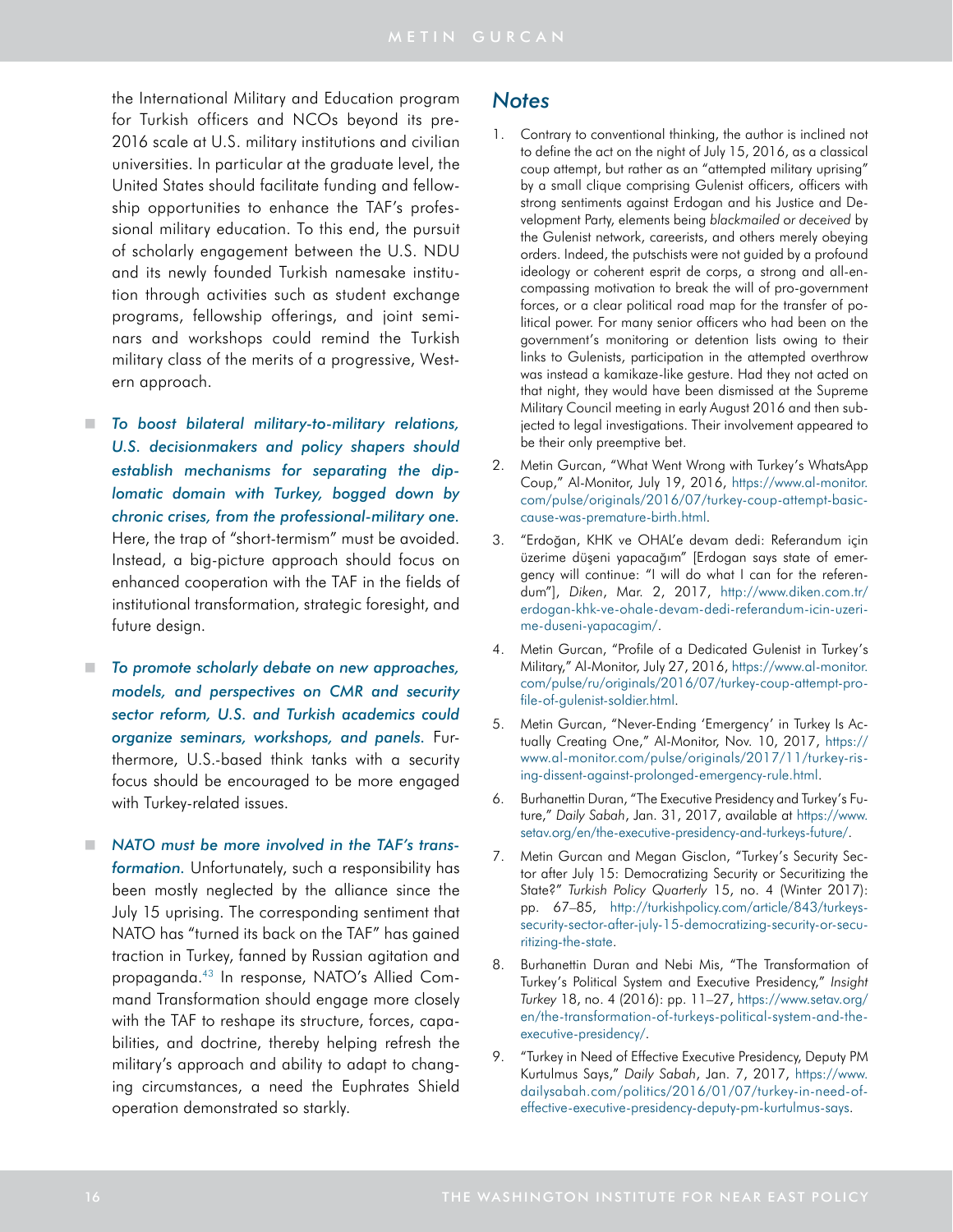the International Military and Education program for Turkish officers and NCOs beyond its pre-2016 scale at U.S. military institutions and civilian universities. In particular at the graduate level, the United States should facilitate funding and fellowship opportunities to enhance the TAF's professional military education. To this end, the pursuit of scholarly engagement between the U.S. NDU and its newly founded Turkish namesake institution through activities such as student exchange programs, fellowship offerings, and joint seminars and workshops could remind the Turkish military class of the merits of a progressive, Western approach.

- *To boost bilateral military-to-military relations, U.S. decisionmakers and policy shapers should establish mechanisms for separating the diplomatic domain with Turkey, bogged down by chronic crises, from the professional-military one.* Here, the trap of "short-termism" must be avoided. Instead, a big-picture approach should focus on enhanced cooperation with the TAF in the fields of institutional transformation, strategic foresight, and future design.
- *To promote scholarly debate on new approaches, models, and perspectives on CMR and security sector reform, U.S. and Turkish academics could organize seminars, workshops, and panels.* Furthermore, U.S.-based think tanks with a security focus should be encouraged to be more engaged with Turkey-related issues.
- *NATO must be more involved in the TAF's transformation.* Unfortunately, such a responsibility has been mostly neglected by the alliance since the July 15 uprising. The corresponding sentiment that NATO has "turned its back on the TAF" has gained traction in Turkey, fanned by Russian agitation and propaganda.43 In response, NATO's Allied Command Transformation should engage more closely with the TAF to reshape its structure, forces, capabilities, and doctrine, thereby helping refresh the military's approach and ability to adapt to changing circumstances, a need the Euphrates Shield operation demonstrated so starkly.

### *Notes*

- <span id="page-15-0"></span>1. Contrary to conventional thinking, the author is inclined not to define the act on the night of July 15, 2016, as a classical coup attempt, but rather as an "attempted military uprising" by a small clique comprising Gulenist officers, officers with strong sentiments against Erdogan and his Justice and Development Party, elements being *blackmailed or deceived* by the Gulenist network, careerists, and others merely obeying orders. Indeed, the putschists were not guided by a profound ideology or coherent esprit de corps, a strong and all-encompassing motivation to break the will of pro-government forces, or a clear political road map for the transfer of political power. For many senior officers who had been on the government's monitoring or detention lists owing to their links to Gulenists, participation in the attempted overthrow was instead a kamikaze-like gesture. Had they not acted on that night, they would have been dismissed at the Supreme Military Council meeting in early August 2016 and then subjected to legal investigations. Their involvement appeared to be their only preemptive bet.
- 2. Metin Gurcan, "What Went Wrong with Turkey's WhatsApp Coup," Al-Monitor, July 19, 2016, [https://www.al-monitor.](https://www.al-monitor.com/pulse/originals/2016/07/turkey-coup-attempt-basic-cause-was-premature-birth.html) [com/pulse/originals/2016/07/turkey-coup-attempt-basic](https://www.al-monitor.com/pulse/originals/2016/07/turkey-coup-attempt-basic-cause-was-premature-birth.html)[cause-was-premature-birth.html.](https://www.al-monitor.com/pulse/originals/2016/07/turkey-coup-attempt-basic-cause-was-premature-birth.html)
- <span id="page-15-1"></span>3. "Erdoğan, KHK ve OHAL'e devam dedi: Referandum için üzerime düşeni yapacağım" [Erdogan says state of emergency will continue: "I will do what I can for the referendum"], *Diken*, Mar. 2, 2017, [http://www.diken.com.tr/](http://www.diken.com.tr/erdogan-khk-ve-ohale-devam-dedi-referandum-icin-uzerime-duseni-yapacagim/) [erdogan-khk-ve-ohale-devam-dedi-referandum-icin-uzeri](http://www.diken.com.tr/erdogan-khk-ve-ohale-devam-dedi-referandum-icin-uzerime-duseni-yapacagim/)[me-duseni-yapacagim/.](http://www.diken.com.tr/erdogan-khk-ve-ohale-devam-dedi-referandum-icin-uzerime-duseni-yapacagim/)
- 4. Metin Gurcan, "Profile of a Dedicated Gulenist in Turkey's Military," Al-Monitor, July 27, 2016, [https://www.al-monitor.](https://www.al-monitor.com/pulse/ru/originals/2016/07/turkey-coup-attempt-profile-of-gulenist-soldier.html) [com/pulse/ru/originals/2016/07/turkey-coup-attempt-pro](https://www.al-monitor.com/pulse/ru/originals/2016/07/turkey-coup-attempt-profile-of-gulenist-soldier.html)[file-of-gulenist-soldier.html.](https://www.al-monitor.com/pulse/ru/originals/2016/07/turkey-coup-attempt-profile-of-gulenist-soldier.html)
- 5. Metin Gurcan, "Never-Ending 'Emergency' in Turkey Is Actually Creating One," Al-Monitor, Nov. 10, 2017, [https://](https://www.al-monitor.com/pulse/originals/2017/11/turkey-rising-dissent-against-prolonged-emergency-rule.html) [www.al-monitor.com/pulse/originals/2017/11/turkey-ris](https://www.al-monitor.com/pulse/originals/2017/11/turkey-rising-dissent-against-prolonged-emergency-rule.html)[ing-dissent-against-prolonged-emergency-rule.html.](https://www.al-monitor.com/pulse/originals/2017/11/turkey-rising-dissent-against-prolonged-emergency-rule.html)
- 6. Burhanettin Duran, "The Executive Presidency and Turkey's Future," *Daily Sabah*, Jan. 31, 2017, available at [https://www.](https://www.setav.org/en/the-executive-presidency-and-turkeys-future/) [setav.org/en/the-executive-presidency-and-turkeys-future/](https://www.setav.org/en/the-executive-presidency-and-turkeys-future/).
- 7. Metin Gurcan and Megan Gisclon, "Turkey's Security Sector after July 15: Democratizing Security or Securitizing the State?" *Turkish Policy Quarterly* 15, no. 4 (Winter 2017): pp. 67–85, [http://turkishpolicy.com/article/843/turkeys](http://turkishpolicy.com/article/843/turkeys-security-sector-after-july-15-democratizing-security-or-securitizing-the-state)[security-sector-after-july-15-democratizing-security-or-secu](http://turkishpolicy.com/article/843/turkeys-security-sector-after-july-15-democratizing-security-or-securitizing-the-state)[ritizing-the-state.](http://turkishpolicy.com/article/843/turkeys-security-sector-after-july-15-democratizing-security-or-securitizing-the-state)
- 8. Burhanettin Duran and Nebi Mis, "The Transformation of Turkey's Political System and Executive Presidency," *Insight Turkey* 18, no. 4 (2016): pp. 11–27, [https://www.setav.org/](https://www.setav.org/en/the-transformation-of-turkeys-political-system-and-the-executive-presidency/) [en/the-transformation-of-turkeys-political-system-and-the](https://www.setav.org/en/the-transformation-of-turkeys-political-system-and-the-executive-presidency/)[executive-presidency/.](https://www.setav.org/en/the-transformation-of-turkeys-political-system-and-the-executive-presidency/)
- <span id="page-15-2"></span>9. "Turkey in Need of Effective Executive Presidency, Deputy PM Kurtulmus Says," *Daily Sabah*, Jan. 7, 2017, [https://www.](https://www.dailysabah.com/politics/2016/01/07/turkey-in-need-of-effective-executive-presidency-deputy-pm-kurtulmus-says) [dailysabah.com/politics/2016/01/07/turkey-in-need-of](https://www.dailysabah.com/politics/2016/01/07/turkey-in-need-of-effective-executive-presidency-deputy-pm-kurtulmus-says)[effective-executive-presidency-deputy-pm-kurtulmus-says.](https://www.dailysabah.com/politics/2016/01/07/turkey-in-need-of-effective-executive-presidency-deputy-pm-kurtulmus-says)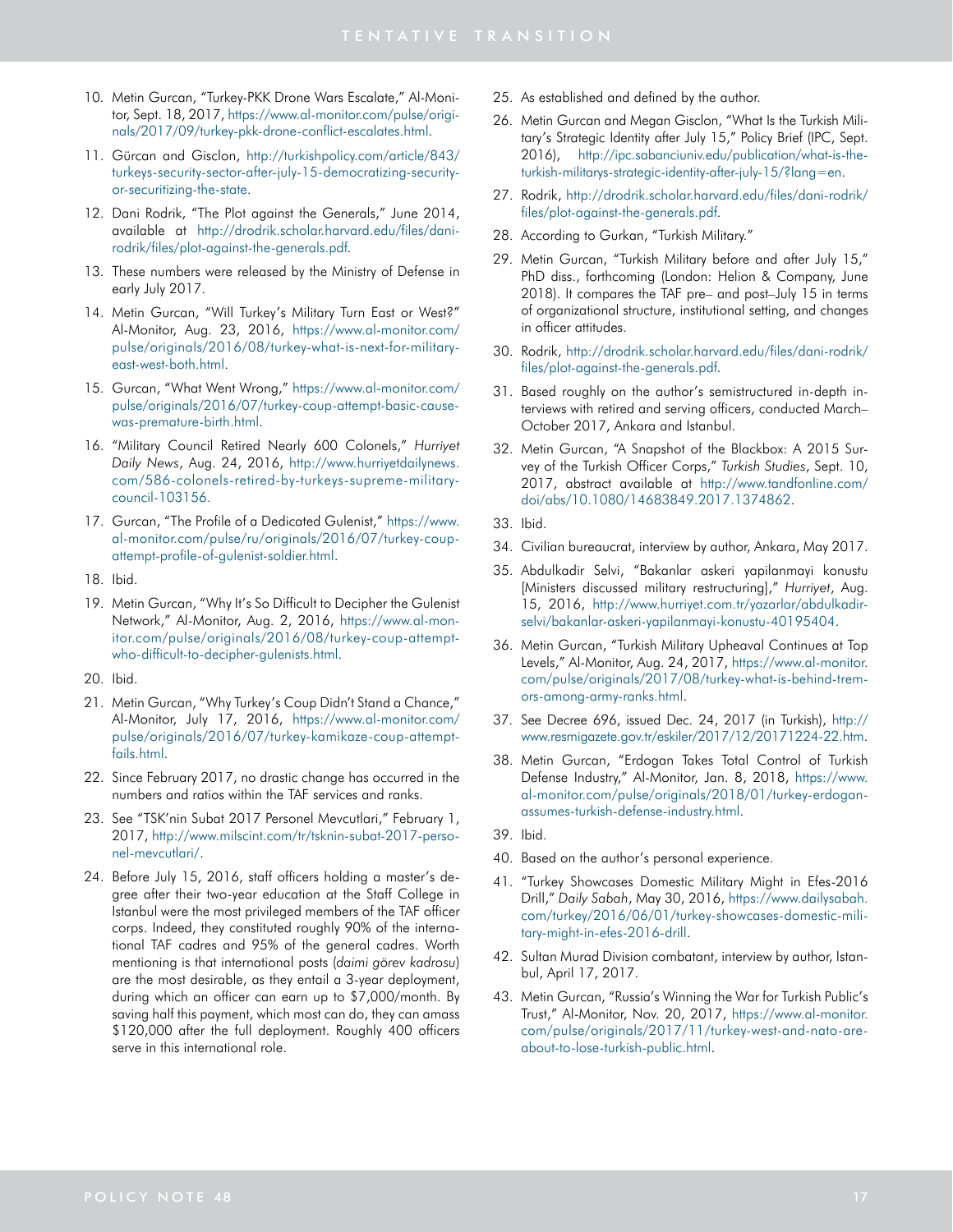- 10. Metin Gurcan, "Turkey-PKK Drone Wars Escalate," Al-Monitor, Sept. 18, 2017, [https://www.al-monitor.com/pulse/origi](https://www.al-monitor.com/pulse/originals/2017/09/turkey-pkk-drone-conflict-escalates.html)[nals/2017/09/turkey-pkk-drone-conflict-escalates.html](https://www.al-monitor.com/pulse/originals/2017/09/turkey-pkk-drone-conflict-escalates.html).
- 11. Gürcan and Gisclon, [http://turkishpolicy.com/article/843/](http://turkishpolicy.com/article/843/turkeys-security-sector-after-july-15-democratizing-security-or-securitizing-the-state) [turkeys-security-sector-after-july-15-democratizing-security](http://turkishpolicy.com/article/843/turkeys-security-sector-after-july-15-democratizing-security-or-securitizing-the-state)[or-securitizing-the-state.](http://turkishpolicy.com/article/843/turkeys-security-sector-after-july-15-democratizing-security-or-securitizing-the-state)
- 12. Dani Rodrik, "The Plot against the Generals," June 2014, available at [http://drodrik.scholar.harvard.edu/files/dani](http://drodrik.scholar.harvard.edu/files/dani-rodrik/files/plot-against-the-generals.pdf)[rodrik/files/plot-against-the-generals.pdf](http://drodrik.scholar.harvard.edu/files/dani-rodrik/files/plot-against-the-generals.pdf).
- <span id="page-16-0"></span>13. These numbers were released by the Ministry of Defense in early July 2017.
- 14. Metin Gurcan, "Will Turkey's Military Turn East or West?" Al-Monitor, Aug. 23, 2016, [https://www.al-monitor.com/](https://www.al-monitor.com/pulse/originals/2016/08/turkey-what-is-next-for-military-east-west-both.html) [pulse/originals/2016/08/turkey-what-is-next-for-military](https://www.al-monitor.com/pulse/originals/2016/08/turkey-what-is-next-for-military-east-west-both.html)[east-west-both.html](https://www.al-monitor.com/pulse/originals/2016/08/turkey-what-is-next-for-military-east-west-both.html).
- 15. Gurcan, "What Went Wrong," [https://www.al-monitor.com/](https://www.al-monitor.com/pulse/originals/2016/07/turkey-coup-attempt-basic-cause-was-premature-birth.html) [pulse/originals/2016/07/turkey-coup-attempt-basic-cause](https://www.al-monitor.com/pulse/originals/2016/07/turkey-coup-attempt-basic-cause-was-premature-birth.html)[was-premature-birth.html.](https://www.al-monitor.com/pulse/originals/2016/07/turkey-coup-attempt-basic-cause-was-premature-birth.html)
- <span id="page-16-1"></span>16. "Military Council Retired Nearly 600 Colonels," *Hurriyet Daily News*, Aug. 24, 2016, [http://www.hurriyetdailynews.](http://www.hurriyetdailynews.com/586-colonels-retired-by-turkeys-supreme-military-council-103156.) [com/586-colonels-retired-by-turkeys-supreme-military](http://www.hurriyetdailynews.com/586-colonels-retired-by-turkeys-supreme-military-council-103156.)[council-103156.](http://www.hurriyetdailynews.com/586-colonels-retired-by-turkeys-supreme-military-council-103156.)
- 17. Gurcan, "The Profile of a Dedicated Gulenist," [https://www.](https://www.al-monitor.com/pulse/ru/originals/2016/07/turkey-coup-attempt-profile-of-gulenist-soldier.html) [al-monitor.com/pulse/ru/originals/2016/07/turkey-coup](https://www.al-monitor.com/pulse/ru/originals/2016/07/turkey-coup-attempt-profile-of-gulenist-soldier.html)[attempt-profile-of-gulenist-soldier.html.](https://www.al-monitor.com/pulse/ru/originals/2016/07/turkey-coup-attempt-profile-of-gulenist-soldier.html)
- <span id="page-16-2"></span>18. Ibid.
- 19. Metin Gurcan, "Why It's So Difficult to Decipher the Gulenist Network," Al-Monitor, Aug. 2, 2016, [https://www.al-mon](https://www.al-monitor.com/pulse/originals/2016/08/turkey-coup-attempt-who-difficult-to-decipher-gulenists.html)[itor.com/pulse/originals/2016/08/turkey-coup-attempt](https://www.al-monitor.com/pulse/originals/2016/08/turkey-coup-attempt-who-difficult-to-decipher-gulenists.html)[who-difficult-to-decipher-gulenists.html](https://www.al-monitor.com/pulse/originals/2016/08/turkey-coup-attempt-who-difficult-to-decipher-gulenists.html).
- <span id="page-16-3"></span>20. Ibid.
- 21. Metin Gurcan, "Why Turkey's Coup Didn't Stand a Chance," Al-Monitor, July 17, 2016, [https://www.al-monitor.com/](https://www.al-monitor.com/pulse/originals/2016/07/turkey-kamikaze-coup-attempt-fails.html) [pulse/originals/2016/07/turkey-kamikaze-coup-attempt](https://www.al-monitor.com/pulse/originals/2016/07/turkey-kamikaze-coup-attempt-fails.html)[fails.html](https://www.al-monitor.com/pulse/originals/2016/07/turkey-kamikaze-coup-attempt-fails.html).
- <span id="page-16-4"></span>22. Since February 2017, no drastic change has occurred in the numbers and ratios within the TAF services and ranks.
- 23. See "TSK'nin Subat 2017 Personel Mevcutlari," February 1, 2017, [http://www.milscint.com/tr/tsknin-subat-2017-perso](http://www.milscint.com/tr/tsknin-subat-2017-personel-mevcutlari/)[nel-mevcutlari/](http://www.milscint.com/tr/tsknin-subat-2017-personel-mevcutlari/).
- 24. Before July 15, 2016, staff officers holding a master's degree after their two-year education at the Staff College in Istanbul were the most privileged members of the TAF officer corps. Indeed, they constituted roughly 90% of the international TAF cadres and 95% of the general cadres. Worth mentioning is that international posts (*daimi görev kadrosu*) are the most desirable, as they entail a 3-year deployment, during which an officer can earn up to \$7,000/month. By saving half this payment, which most can do, they can amass \$120,000 after the full deployment. Roughly 400 officers serve in this international role.
- <span id="page-16-5"></span>25. As established and defined by the author.
- 26. Metin Gurcan and Megan Gisclon, "What Is the Turkish Military's Strategic Identity after July 15," Policy Brief (IPC, Sept. 2016), [http://ipc.sabanciuniv.edu/publication/what-is-the](http://ipc.sabanciuniv.edu/publication/what-is-the-turkish-militarys-strategic-identity-after-july-15/?lang=en)[turkish-militarys-strategic-identity-after-july-15/?lang=en.](http://ipc.sabanciuniv.edu/publication/what-is-the-turkish-militarys-strategic-identity-after-july-15/?lang=en)
- <span id="page-16-6"></span>27. Rodrik, [http://drodrik.scholar.harvard.edu/files/dani-rodrik/](http://drodrik.scholar.harvard.edu/files/dani-rodrik/files/plot-against-the-generals.pdf) [files/plot-against-the-generals.pdf.](http://drodrik.scholar.harvard.edu/files/dani-rodrik/files/plot-against-the-generals.pdf)
- 28. According to Gurkan, "Turkish Military."
- 29. Metin Gurcan, "Turkish Military before and after July 15," PhD diss., forthcoming (London: Helion & Company, June 2018). It compares the TAF pre– and post–July 15 in terms of organizational structure, institutional setting, and changes in officer attitudes.
- <span id="page-16-7"></span>30. Rodrik, [http://drodrik.scholar.harvard.edu/files/dani-rodrik/](http://drodrik.scholar.harvard.edu/files/dani-rodrik/files/plot-against-the-generals.pdf) [files/plot-against-the-generals.pdf.](http://drodrik.scholar.harvard.edu/files/dani-rodrik/files/plot-against-the-generals.pdf)
- 31. Based roughly on the author's semistructured in-depth interviews with retired and serving officers, conducted March– October 2017, Ankara and Istanbul.
- 32. Metin Gurcan, "A Snapshot of the Blackbox: A 2015 Survey of the Turkish Officer Corps," *Turkish Studies*, Sept. 10, 2017, abstract available at [http://www.tandfonline.com/](http://www.tandfonline.com/doi/abs/10.1080/14683849.2017.1374862) [doi/abs/10.1080/14683849.2017.1374862](http://www.tandfonline.com/doi/abs/10.1080/14683849.2017.1374862).
- 33. Ibid.
- <span id="page-16-8"></span>34. Civilian bureaucrat, interview by author, Ankara, May 2017.
- 35. Abdulkadir Selvi, "Bakanlar askeri yapilanmayi konustu [Ministers discussed military restructuring]," *Hurriyet*, Aug. 15, 2016, [http://www.hurriyet.com.tr/yazarlar/abdulkadir](http://www.hurriyet.com.tr/yazarlar/abdulkadir-selvi/bakanlar-askeri-yapilanmayi-konustu-40195404)[selvi/bakanlar-askeri-yapilanmayi-konustu-40195404.](http://www.hurriyet.com.tr/yazarlar/abdulkadir-selvi/bakanlar-askeri-yapilanmayi-konustu-40195404)
- 36. Metin Gurcan, "Turkish Military Upheaval Continues at Top Levels," Al-Monitor, Aug. 24, 2017, [https://www.al-monitor.](https://www.al-monitor.com/pulse/originals/2017/08/turkey-what-is-behind-tremors-among-army-ranks.html) [com/pulse/originals/2017/08/turkey-what-is-behind-trem](https://www.al-monitor.com/pulse/originals/2017/08/turkey-what-is-behind-tremors-among-army-ranks.html)[ors-among-army-ranks.html](https://www.al-monitor.com/pulse/originals/2017/08/turkey-what-is-behind-tremors-among-army-ranks.html).
- <span id="page-16-9"></span>37. See Decree 696, issued Dec. 24, 2017 (in Turkish), [http://](http://www.resmigazete.gov.tr/eskiler/2017/12/20171224-22.htm) [www.resmigazete.gov.tr/eskiler/2017/12/20171224-22.htm](http://www.resmigazete.gov.tr/eskiler/2017/12/20171224-22.htm).
- 38. Metin Gurcan, "Erdogan Takes Total Control of Turkish Defense Industry," Al-Monitor, Jan. 8, 2018, [https://www.](https://www.al-monitor.com/pulse/originals/2018/01/turkey-erdogan-assumes-turkish-defense-industry.html) [al-monitor.com/pulse/originals/2018/01/turkey-erdogan](https://www.al-monitor.com/pulse/originals/2018/01/turkey-erdogan-assumes-turkish-defense-industry.html)[assumes-turkish-defense-industry.html.](https://www.al-monitor.com/pulse/originals/2018/01/turkey-erdogan-assumes-turkish-defense-industry.html)
- 39. Ibid.
- 40. Based on the author's personal experience.
- <span id="page-16-10"></span>41. "Turkey Showcases Domestic Military Might in Efes-2016 Drill," *Daily Sabah*, May 30, 2016, [https://www.dailysabah.](https://www.dailysabah.com/turkey/2016/06/01/turkey-showcases-domestic-military-might-in-efes-2016-drill) [com/turkey/2016/06/01/turkey-showcases-domestic-mili](https://www.dailysabah.com/turkey/2016/06/01/turkey-showcases-domestic-military-might-in-efes-2016-drill)[tary-might-in-efes-2016-drill](https://www.dailysabah.com/turkey/2016/06/01/turkey-showcases-domestic-military-might-in-efes-2016-drill).
- <span id="page-16-11"></span>42. Sultan Murad Division combatant, interview by author, Istanbul, April 17, 2017.
- 43. Metin Gurcan, "Russia's Winning the War for Turkish Public's Trust," Al-Monitor, Nov. 20, 2017, [https://www.al-monitor.](https://www.al-monitor.com/pulse/originals/2017/11/turkey-west-and-nato-are-about-to-lose-turkish-public.html) [com/pulse/originals/2017/11/turkey-west-and-nato-are](https://www.al-monitor.com/pulse/originals/2017/11/turkey-west-and-nato-are-about-to-lose-turkish-public.html)[about-to-lose-turkish-public.html](https://www.al-monitor.com/pulse/originals/2017/11/turkey-west-and-nato-are-about-to-lose-turkish-public.html).